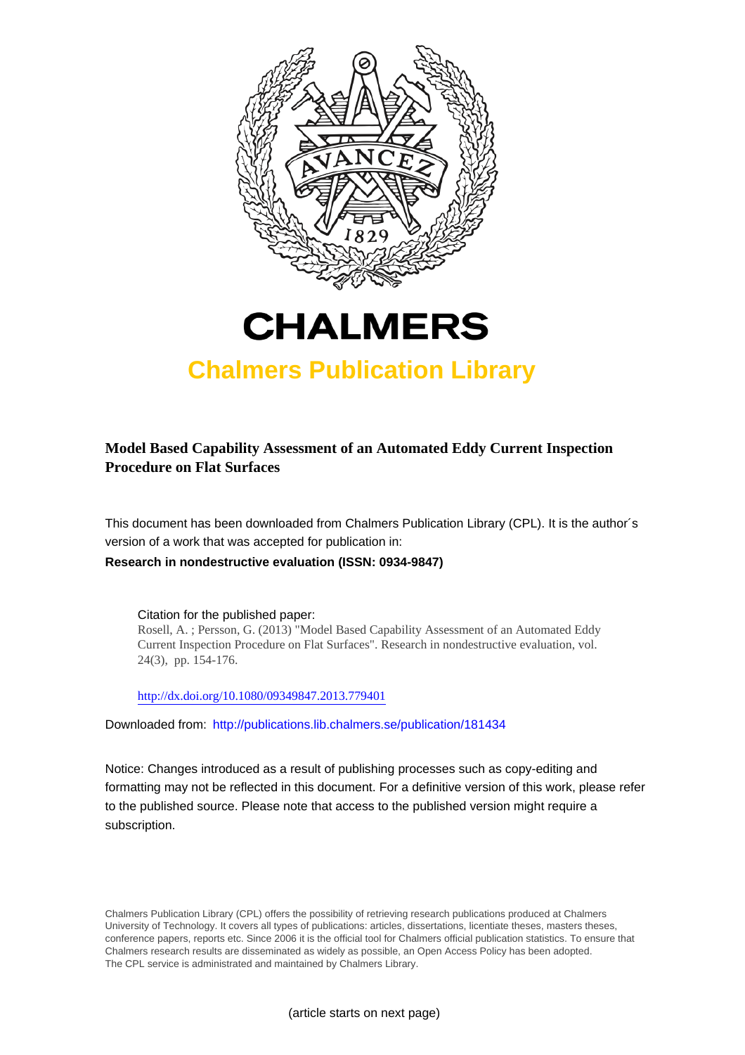



# **Chalmers Publication Library**

### **Model Based Capability Assessment of an Automated Eddy Current Inspection Procedure on Flat Surfaces**

This document has been downloaded from Chalmers Publication Library (CPL). It is the author´s version of a work that was accepted for publication in:

**Research in nondestructive evaluation (ISSN: 0934-9847)**

Citation for the published paper: Rosell, A. ; Persson, G. (2013) "Model Based Capability Assessment of an Automated Eddy Current Inspection Procedure on Flat Surfaces". Research in nondestructive evaluation, vol. 24(3), pp. 154-176.

<http://dx.doi.org/10.1080/09349847.2013.779401>

Downloaded from: <http://publications.lib.chalmers.se/publication/181434>

Notice: Changes introduced as a result of publishing processes such as copy-editing and formatting may not be reflected in this document. For a definitive version of this work, please refer to the published source. Please note that access to the published version might require a subscription.

Chalmers Publication Library (CPL) offers the possibility of retrieving research publications produced at Chalmers University of Technology. It covers all types of publications: articles, dissertations, licentiate theses, masters theses, conference papers, reports etc. Since 2006 it is the official tool for Chalmers official publication statistics. To ensure that Chalmers research results are disseminated as widely as possible, an Open Access Policy has been adopted. The CPL service is administrated and maintained by Chalmers Library.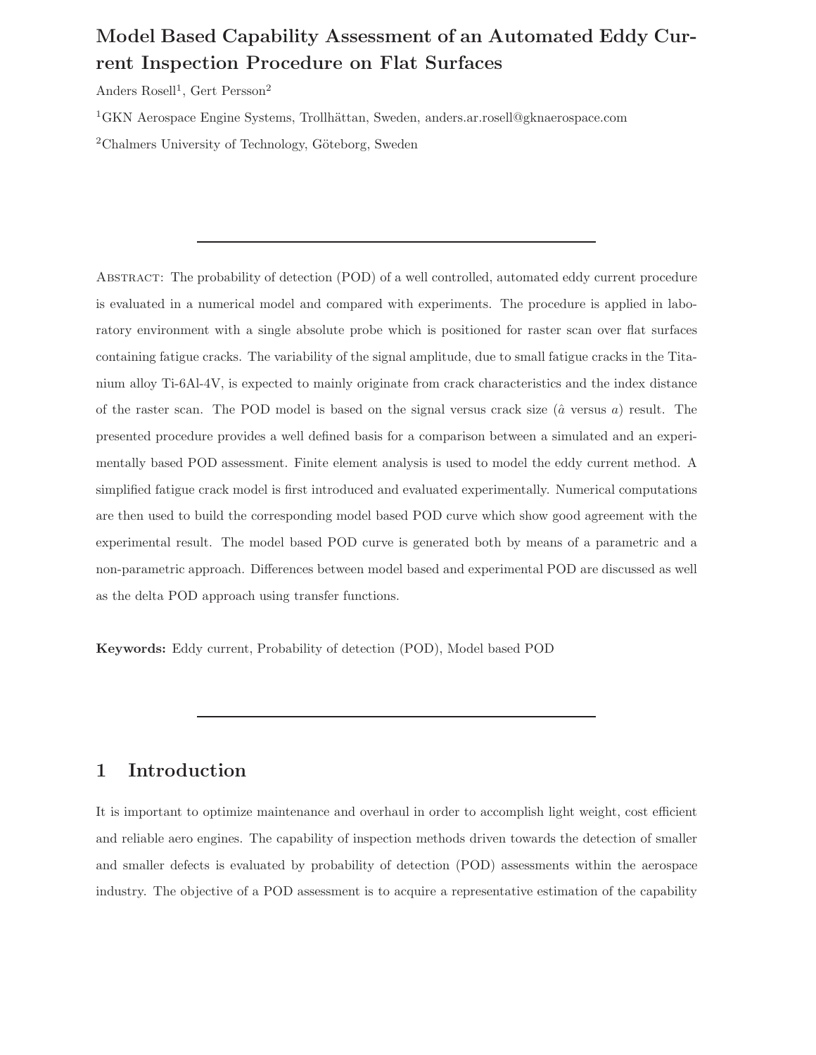## Model Based Capability Assessment of an Automated Eddy Current Inspection Procedure on Flat Surfaces

Anders Rosell<sup>1</sup>, Gert Persson<sup>2</sup>

<sup>1</sup>GKN Aerospace Engine Systems, Trollhättan, Sweden, anders.ar.rosell@gknaerospace.com

<sup>2</sup>Chalmers University of Technology, Göteborg, Sweden

Abstract: The probability of detection (POD) of a well controlled, automated eddy current procedure is evaluated in a numerical model and compared with experiments. The procedure is applied in laboratory environment with a single absolute probe which is positioned for raster scan over flat surfaces containing fatigue cracks. The variability of the signal amplitude, due to small fatigue cracks in the Titanium alloy Ti-6Al-4V, is expected to mainly originate from crack characteristics and the index distance of the raster scan. The POD model is based on the signal versus crack size  $(\hat{a}$  versus a) result. The presented procedure provides a well defined basis for a comparison between a simulated and an experimentally based POD assessment. Finite element analysis is used to model the eddy current method. A simplified fatigue crack model is first introduced and evaluated experimentally. Numerical computations are then used to build the corresponding model based POD curve which show good agreement with the experimental result. The model based POD curve is generated both by means of a parametric and a non-parametric approach. Differences between model based and experimental POD are discussed as well as the delta POD approach using transfer functions.

Keywords: Eddy current, Probability of detection (POD), Model based POD

### 1 Introduction

It is important to optimize maintenance and overhaul in order to accomplish light weight, cost efficient and reliable aero engines. The capability of inspection methods driven towards the detection of smaller and smaller defects is evaluated by probability of detection (POD) assessments within the aerospace industry. The objective of a POD assessment is to acquire a representative estimation of the capability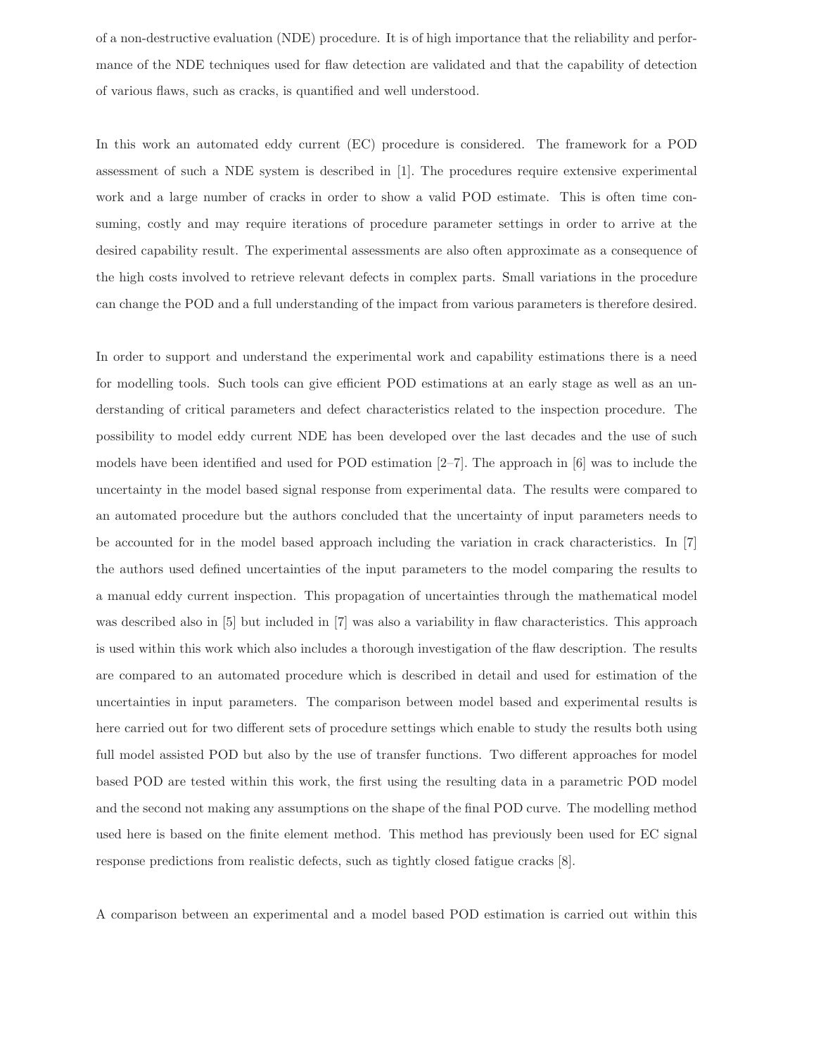of a non-destructive evaluation (NDE) procedure. It is of high importance that the reliability and performance of the NDE techniques used for flaw detection are validated and that the capability of detection of various flaws, such as cracks, is quantified and well understood.

In this work an automated eddy current (EC) procedure is considered. The framework for a POD assessment of such a NDE system is described in [1]. The procedures require extensive experimental work and a large number of cracks in order to show a valid POD estimate. This is often time consuming, costly and may require iterations of procedure parameter settings in order to arrive at the desired capability result. The experimental assessments are also often approximate as a consequence of the high costs involved to retrieve relevant defects in complex parts. Small variations in the procedure can change the POD and a full understanding of the impact from various parameters is therefore desired.

In order to support and understand the experimental work and capability estimations there is a need for modelling tools. Such tools can give efficient POD estimations at an early stage as well as an understanding of critical parameters and defect characteristics related to the inspection procedure. The possibility to model eddy current NDE has been developed over the last decades and the use of such models have been identified and used for POD estimation [2–7]. The approach in [6] was to include the uncertainty in the model based signal response from experimental data. The results were compared to an automated procedure but the authors concluded that the uncertainty of input parameters needs to be accounted for in the model based approach including the variation in crack characteristics. In [7] the authors used defined uncertainties of the input parameters to the model comparing the results to a manual eddy current inspection. This propagation of uncertainties through the mathematical model was described also in [5] but included in [7] was also a variability in flaw characteristics. This approach is used within this work which also includes a thorough investigation of the flaw description. The results are compared to an automated procedure which is described in detail and used for estimation of the uncertainties in input parameters. The comparison between model based and experimental results is here carried out for two different sets of procedure settings which enable to study the results both using full model assisted POD but also by the use of transfer functions. Two different approaches for model based POD are tested within this work, the first using the resulting data in a parametric POD model and the second not making any assumptions on the shape of the final POD curve. The modelling method used here is based on the finite element method. This method has previously been used for EC signal response predictions from realistic defects, such as tightly closed fatigue cracks [8].

A comparison between an experimental and a model based POD estimation is carried out within this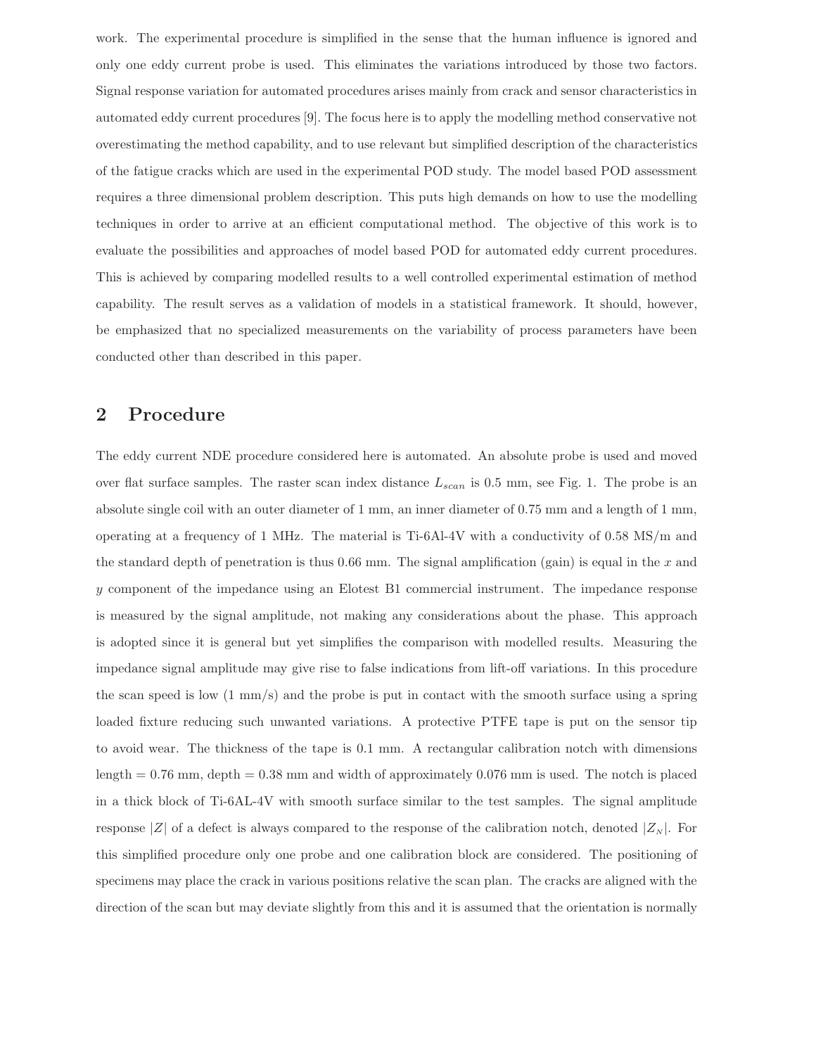work. The experimental procedure is simplified in the sense that the human influence is ignored and only one eddy current probe is used. This eliminates the variations introduced by those two factors. Signal response variation for automated procedures arises mainly from crack and sensor characteristics in automated eddy current procedures [9]. The focus here is to apply the modelling method conservative not overestimating the method capability, and to use relevant but simplified description of the characteristics of the fatigue cracks which are used in the experimental POD study. The model based POD assessment requires a three dimensional problem description. This puts high demands on how to use the modelling techniques in order to arrive at an efficient computational method. The objective of this work is to evaluate the possibilities and approaches of model based POD for automated eddy current procedures. This is achieved by comparing modelled results to a well controlled experimental estimation of method capability. The result serves as a validation of models in a statistical framework. It should, however, be emphasized that no specialized measurements on the variability of process parameters have been conducted other than described in this paper.

### 2 Procedure

The eddy current NDE procedure considered here is automated. An absolute probe is used and moved over flat surface samples. The raster scan index distance  $L_{scan}$  is 0.5 mm, see Fig. 1. The probe is an absolute single coil with an outer diameter of 1 mm, an inner diameter of 0.75 mm and a length of 1 mm, operating at a frequency of 1 MHz. The material is Ti-6Al-4V with a conductivity of 0.58 MS/m and the standard depth of penetration is thus  $0.66$  mm. The signal amplification (gain) is equal in the x and y component of the impedance using an Elotest B1 commercial instrument. The impedance response is measured by the signal amplitude, not making any considerations about the phase. This approach is adopted since it is general but yet simplifies the comparison with modelled results. Measuring the impedance signal amplitude may give rise to false indications from lift-off variations. In this procedure the scan speed is low (1 mm/s) and the probe is put in contact with the smooth surface using a spring loaded fixture reducing such unwanted variations. A protective PTFE tape is put on the sensor tip to avoid wear. The thickness of the tape is 0.1 mm. A rectangular calibration notch with dimensions length  $= 0.76$  mm, depth  $= 0.38$  mm and width of approximately 0.076 mm is used. The notch is placed in a thick block of Ti-6AL-4V with smooth surface similar to the test samples. The signal amplitude response |Z| of a defect is always compared to the response of the calibration notch, denoted  $|Z_N|$ . For this simplified procedure only one probe and one calibration block are considered. The positioning of specimens may place the crack in various positions relative the scan plan. The cracks are aligned with the direction of the scan but may deviate slightly from this and it is assumed that the orientation is normally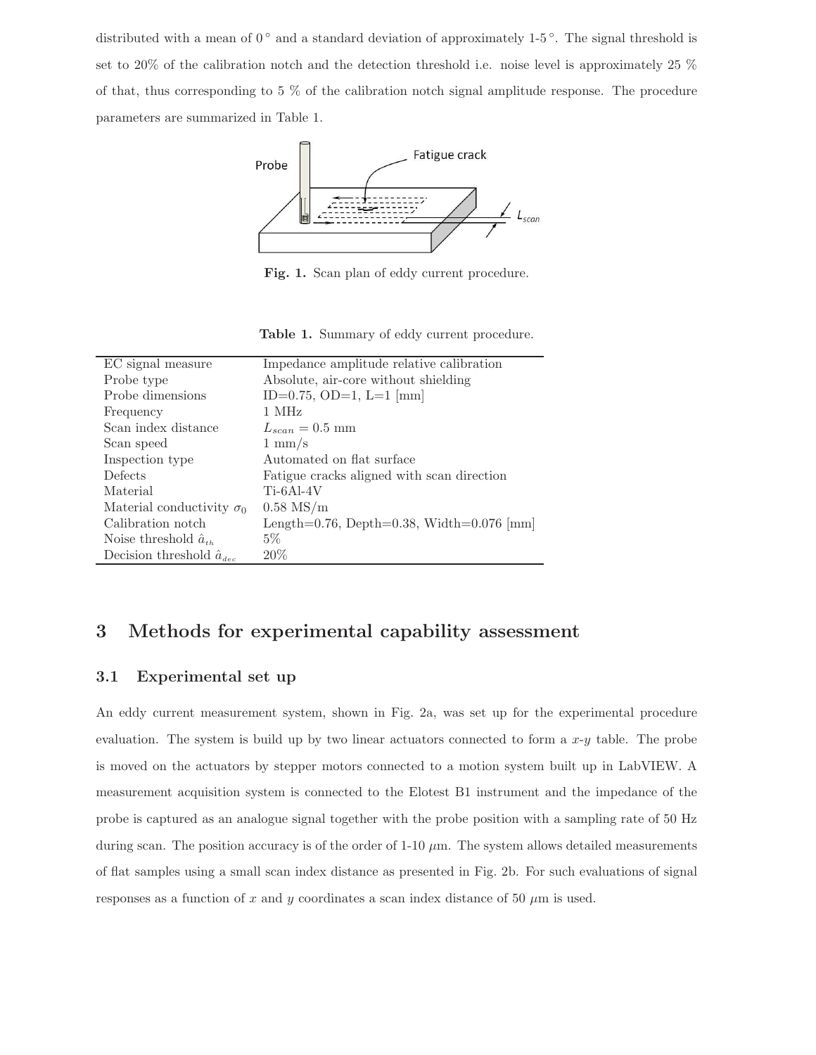distributed with a mean of  $0^{\circ}$  and a standard deviation of approximately 1-5°. The signal threshold is set to 20% of the calibration notch and the detection threshold i.e. noise level is approximately 25 % of that, thus corresponding to 5 % of the calibration notch signal amplitude response. The procedure parameters are summarized in Table 1.



Fig. 1. Scan plan of eddy current procedure.

Table 1. Summary of eddy current procedure.

| EC signal measure                  | Impedance amplitude relative calibration   |
|------------------------------------|--------------------------------------------|
| Probe type                         | Absolute, air-core without shielding       |
| Probe dimensions                   | ID=0.75, OD=1, L=1 ${\rm [mm]}$            |
| Frequency                          | 1 MHz                                      |
| Scan index distance                | $L_{scan} = 0.5$ mm                        |
| Scan speed                         | $1 \text{ mm/s}$                           |
| Inspection type                    | Automated on flat surface                  |
| Defects                            | Fatigue cracks aligned with scan direction |
| Material                           | $Ti-6Al-4V$                                |
| Material conductivity $\sigma_0$   | $0.58$ MS/m                                |
| Calibration notch                  | Length=0.76, Depth=0.38, Width=0.076 [mm]  |
| Noise threshold $\hat{a}_{th}$     | $5\%$                                      |
| Decision threshold $\hat{a}_{dec}$ | 20%                                        |
|                                    |                                            |

### 3 Methods for experimental capability assessment

#### 3.1 Experimental set up

An eddy current measurement system, shown in Fig. 2a, was set up for the experimental procedure evaluation. The system is build up by two linear actuators connected to form a  $x-y$  table. The probe is moved on the actuators by stepper motors connected to a motion system built up in LabVIEW. A measurement acquisition system is connected to the Elotest B1 instrument and the impedance of the probe is captured as an analogue signal together with the probe position with a sampling rate of 50 Hz during scan. The position accuracy is of the order of  $1\t{-}10 \mu m$ . The system allows detailed measurements of flat samples using a small scan index distance as presented in Fig. 2b. For such evaluations of signal responses as a function of x and y coordinates a scan index distance of 50  $\mu$ m is used.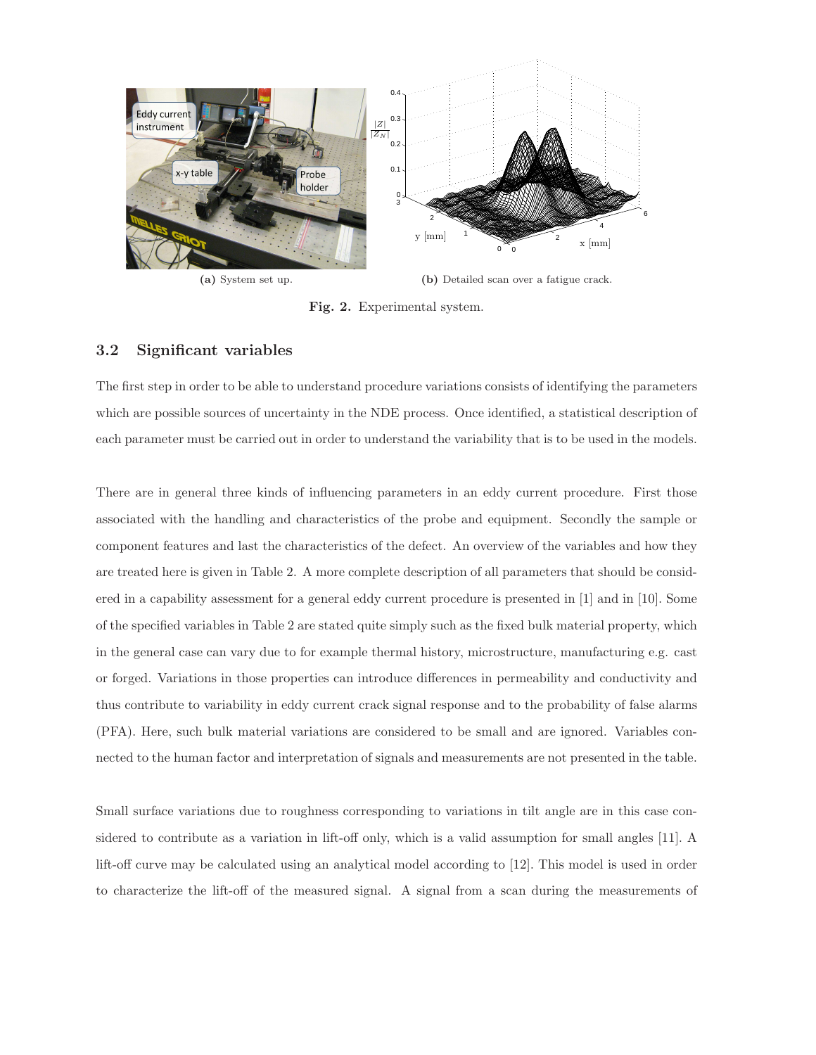

Fig. 2. Experimental system.

#### 3.2 Significant variables

The first step in order to be able to understand procedure variations consists of identifying the parameters which are possible sources of uncertainty in the NDE process. Once identified, a statistical description of each parameter must be carried out in order to understand the variability that is to be used in the models.

There are in general three kinds of influencing parameters in an eddy current procedure. First those associated with the handling and characteristics of the probe and equipment. Secondly the sample or component features and last the characteristics of the defect. An overview of the variables and how they are treated here is given in Table 2. A more complete description of all parameters that should be considered in a capability assessment for a general eddy current procedure is presented in [1] and in [10]. Some of the specified variables in Table 2 are stated quite simply such as the fixed bulk material property, which in the general case can vary due to for example thermal history, microstructure, manufacturing e.g. cast or forged. Variations in those properties can introduce differences in permeability and conductivity and thus contribute to variability in eddy current crack signal response and to the probability of false alarms (PFA). Here, such bulk material variations are considered to be small and are ignored. Variables connected to the human factor and interpretation of signals and measurements are not presented in the table.

Small surface variations due to roughness corresponding to variations in tilt angle are in this case considered to contribute as a variation in lift-off only, which is a valid assumption for small angles [11]. A lift-off curve may be calculated using an analytical model according to [12]. This model is used in order to characterize the lift-off of the measured signal. A signal from a scan during the measurements of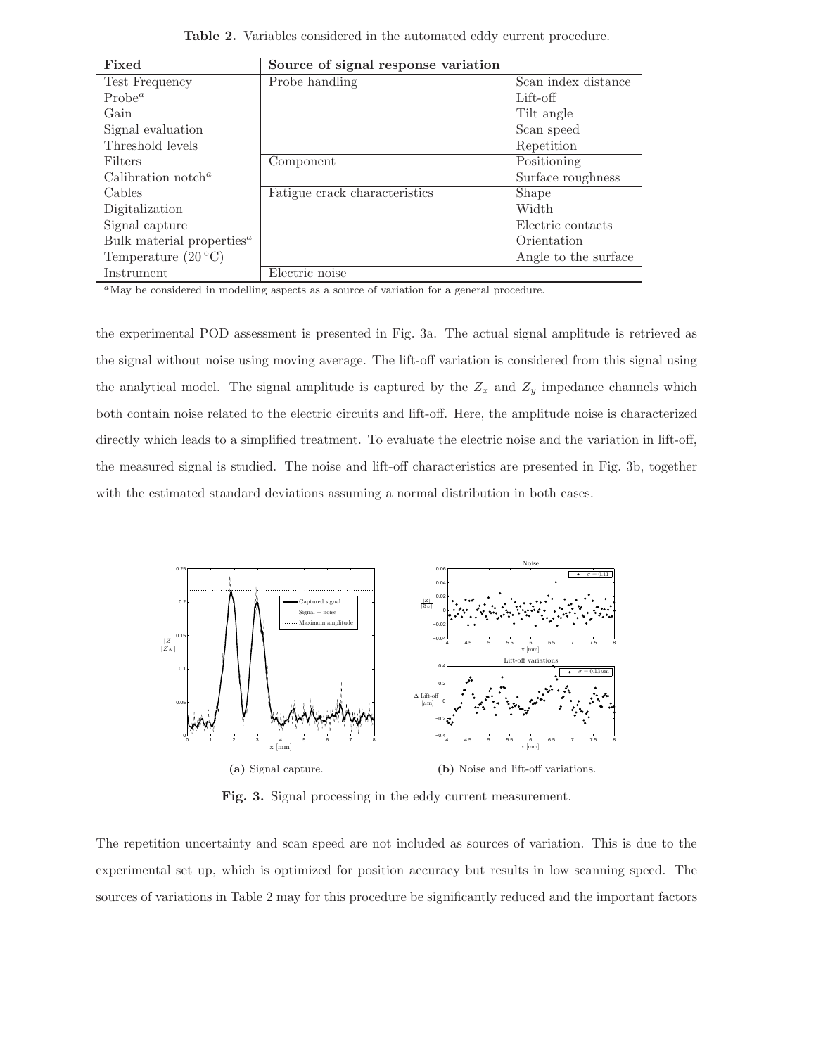Table 2. Variables considered in the automated eddy current procedure.

| T TVCH                                       | bource of signal response variation |                      |
|----------------------------------------------|-------------------------------------|----------------------|
| Test Frequency                               | Probe handling                      | Scan index distance  |
| Probe <sup>a</sup>                           |                                     | Lift-off             |
| Gain                                         |                                     | Tilt angle           |
| Signal evaluation                            |                                     | Scan speed           |
| Threshold levels                             |                                     | Repetition           |
| Filters                                      | Component                           | Positioning          |
| Calibration notch <sup><math>a</math></sup>  |                                     | Surface roughness    |
| Cables                                       | Fatigue crack characteristics       | Shape                |
| Digitalization                               |                                     | Width                |
| Signal capture                               |                                     | Electric contacts    |
| Bulk material properties <sup><i>a</i></sup> |                                     | Orientation          |
| Temperature $(20\degree C)$                  |                                     | Angle to the surface |
| Instrument                                   | Electric noise                      |                      |

Fixed Source of signal response variation

<sup>a</sup>May be considered in modelling aspects as a source of variation for a general procedure.

the experimental POD assessment is presented in Fig. 3a. The actual signal amplitude is retrieved as the signal without noise using moving average. The lift-off variation is considered from this signal using the analytical model. The signal amplitude is captured by the  $Z_x$  and  $Z_y$  impedance channels which both contain noise related to the electric circuits and lift-off. Here, the amplitude noise is characterized directly which leads to a simplified treatment. To evaluate the electric noise and the variation in lift-off, the measured signal is studied. The noise and lift-off characteristics are presented in Fig. 3b, together with the estimated standard deviations assuming a normal distribution in both cases.



Fig. 3. Signal processing in the eddy current measurement.

The repetition uncertainty and scan speed are not included as sources of variation. This is due to the experimental set up, which is optimized for position accuracy but results in low scanning speed. The sources of variations in Table 2 may for this procedure be significantly reduced and the important factors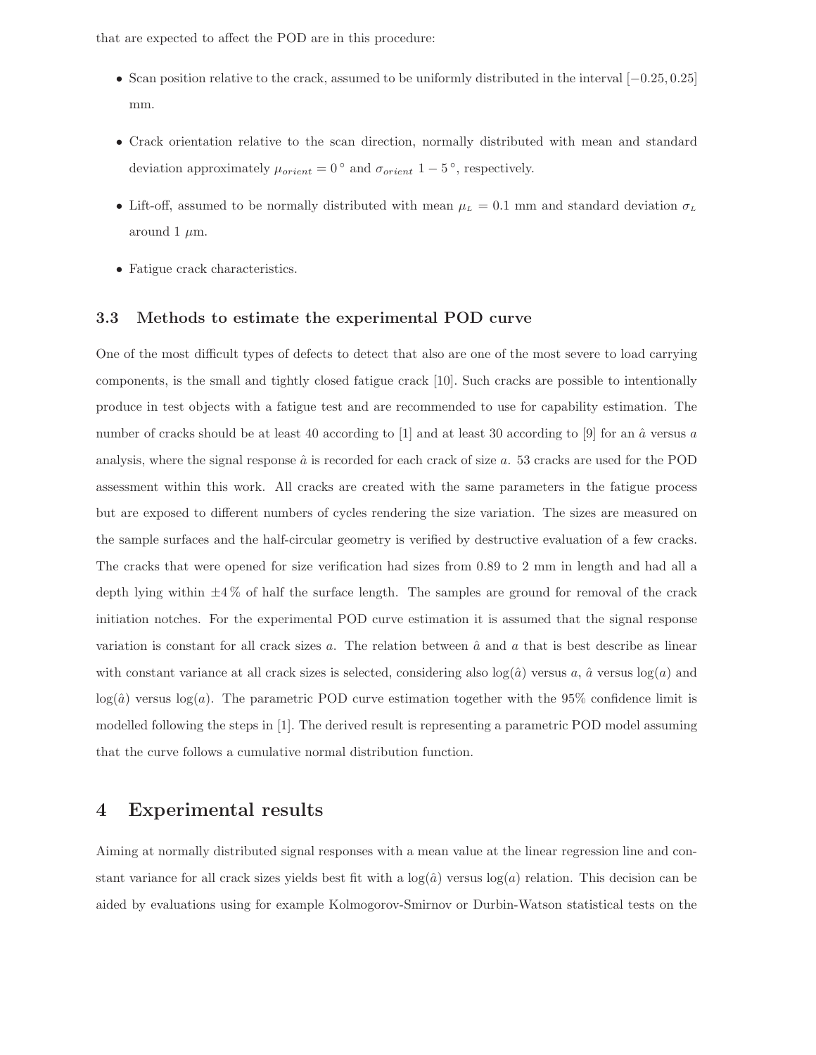that are expected to affect the POD are in this procedure:

- Scan position relative to the crack, assumed to be uniformly distributed in the interval [−0.25, 0.25] mm.
- Crack orientation relative to the scan direction, normally distributed with mean and standard deviation approximately  $\mu_{orient} = 0^{\circ}$  and  $\sigma_{orient}$  1 – 5°, respectively.
- Lift-off, assumed to be normally distributed with mean  $\mu_L = 0.1$  mm and standard deviation  $\sigma_L$ around 1  $\mu$ m.
- Fatigue crack characteristics.

#### 3.3 Methods to estimate the experimental POD curve

One of the most difficult types of defects to detect that also are one of the most severe to load carrying components, is the small and tightly closed fatigue crack [10]. Such cracks are possible to intentionally produce in test objects with a fatigue test and are recommended to use for capability estimation. The number of cracks should be at least 40 according to [1] and at least 30 according to [9] for an  $\hat{a}$  versus a analysis, where the signal response  $\hat{a}$  is recorded for each crack of size  $a$ . 53 cracks are used for the POD assessment within this work. All cracks are created with the same parameters in the fatigue process but are exposed to different numbers of cycles rendering the size variation. The sizes are measured on the sample surfaces and the half-circular geometry is verified by destructive evaluation of a few cracks. The cracks that were opened for size verification had sizes from 0.89 to 2 mm in length and had all a depth lying within  $\pm 4\%$  of half the surface length. The samples are ground for removal of the crack initiation notches. For the experimental POD curve estimation it is assumed that the signal response variation is constant for all crack sizes a. The relation between  $\hat{a}$  and a that is best describe as linear with constant variance at all crack sizes is selected, considering also  $log(\hat{a})$  versus  $a, \hat{a}$  versus  $log(a)$  and  $log(\hat{a})$  versus  $log(a)$ . The parametric POD curve estimation together with the 95% confidence limit is modelled following the steps in [1]. The derived result is representing a parametric POD model assuming that the curve follows a cumulative normal distribution function.

### 4 Experimental results

Aiming at normally distributed signal responses with a mean value at the linear regression line and constant variance for all crack sizes yields best fit with a  $log(\hat{a})$  versus  $log(a)$  relation. This decision can be aided by evaluations using for example Kolmogorov-Smirnov or Durbin-Watson statistical tests on the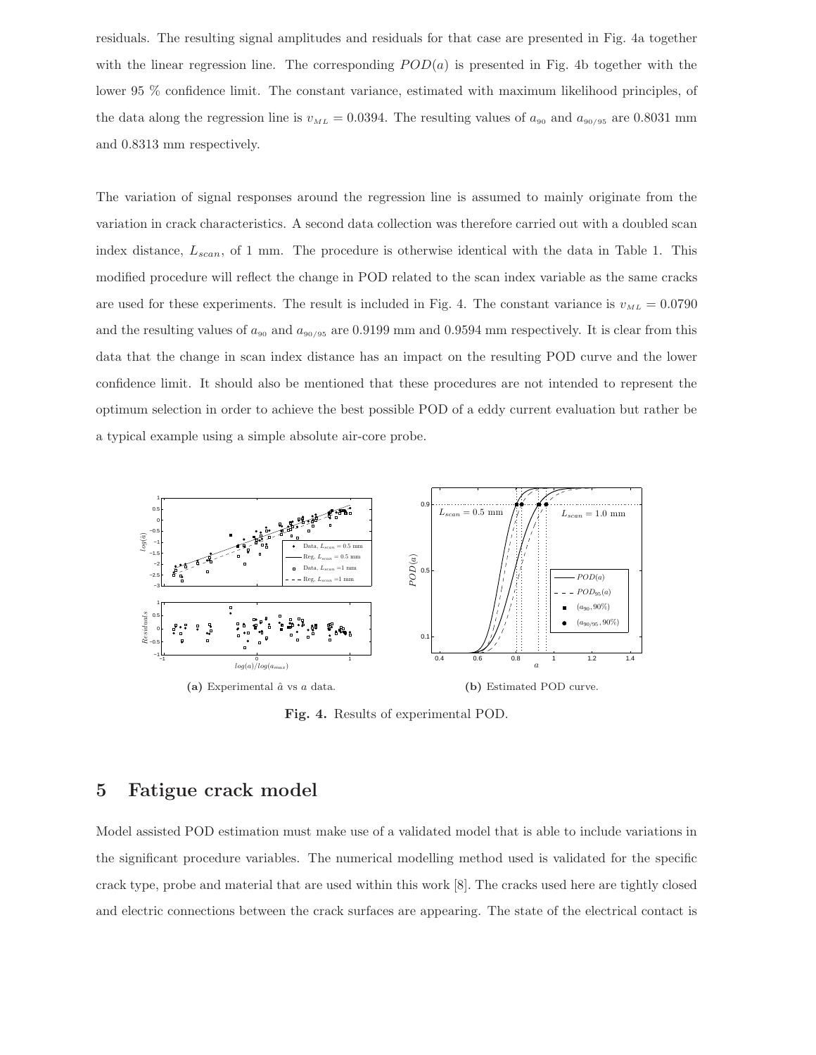residuals. The resulting signal amplitudes and residuals for that case are presented in Fig. 4a together with the linear regression line. The corresponding  $POD(a)$  is presented in Fig. 4b together with the lower 95 % confidence limit. The constant variance, estimated with maximum likelihood principles, of the data along the regression line is  $v_{ML} = 0.0394$ . The resulting values of  $a_{90}$  and  $a_{90/95}$  are 0.8031 mm and 0.8313 mm respectively.

The variation of signal responses around the regression line is assumed to mainly originate from the variation in crack characteristics. A second data collection was therefore carried out with a doubled scan index distance,  $L_{scan}$ , of 1 mm. The procedure is otherwise identical with the data in Table 1. This modified procedure will reflect the change in POD related to the scan index variable as the same cracks are used for these experiments. The result is included in Fig. 4. The constant variance is  $v_{ML} = 0.0790$ and the resulting values of  $a_{90}$  and  $a_{90/95}$  are 0.9199 mm and 0.9594 mm respectively. It is clear from this data that the change in scan index distance has an impact on the resulting POD curve and the lower confidence limit. It should also be mentioned that these procedures are not intended to represent the optimum selection in order to achieve the best possible POD of a eddy current evaluation but rather be a typical example using a simple absolute air-core probe.



Fig. 4. Results of experimental POD.

### 5 Fatigue crack model

Model assisted POD estimation must make use of a validated model that is able to include variations in the significant procedure variables. The numerical modelling method used is validated for the specific crack type, probe and material that are used within this work [8]. The cracks used here are tightly closed and electric connections between the crack surfaces are appearing. The state of the electrical contact is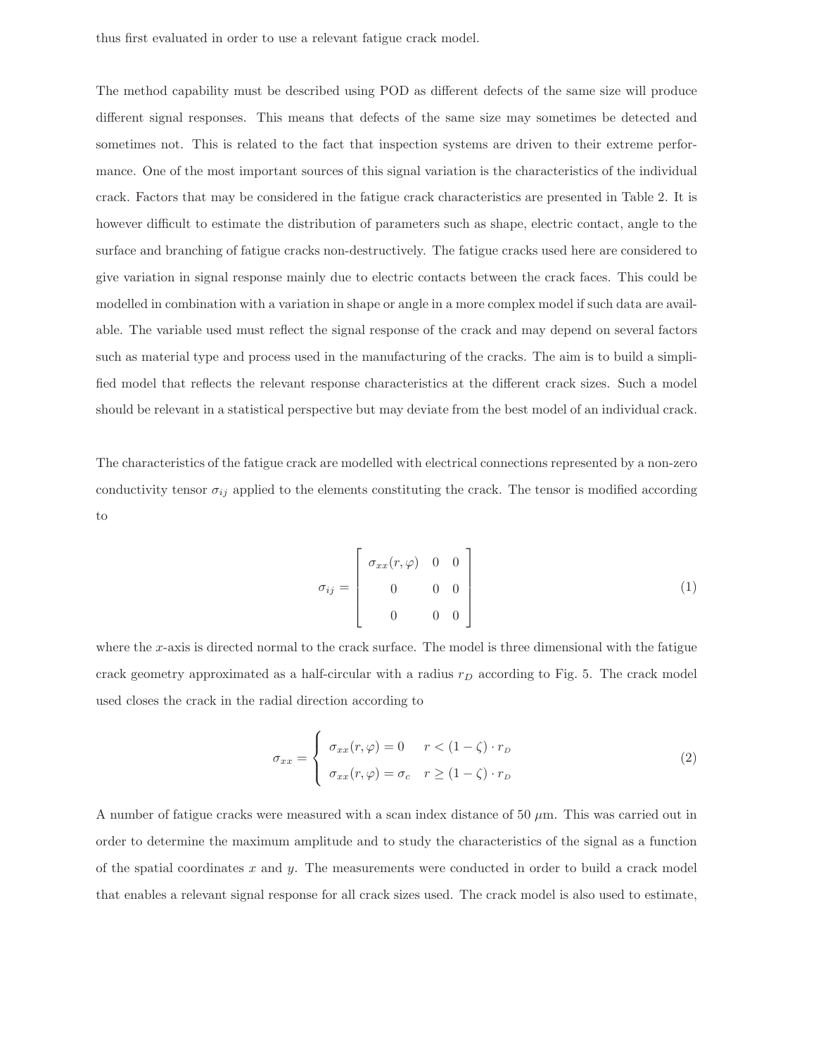The method capability must be described using POD as different defects of the same size will produce different signal responses. This means that defects of the same size may sometimes be detected and sometimes not. This is related to the fact that inspection systems are driven to their extreme performance. One of the most important sources of this signal variation is the characteristics of the individual crack. Factors that may be considered in the fatigue crack characteristics are presented in Table 2. It is however difficult to estimate the distribution of parameters such as shape, electric contact, angle to the surface and branching of fatigue cracks non-destructively. The fatigue cracks used here are considered to give variation in signal response mainly due to electric contacts between the crack faces. This could be modelled in combination with a variation in shape or angle in a more complex model if such data are available. The variable used must reflect the signal response of the crack and may depend on several factors such as material type and process used in the manufacturing of the cracks. The aim is to build a simplified model that reflects the relevant response characteristics at the different crack sizes. Such a model should be relevant in a statistical perspective but may deviate from the best model of an individual crack.

The characteristics of the fatigue crack are modelled with electrical connections represented by a non-zero conductivity tensor  $\sigma_{ij}$  applied to the elements constituting the crack. The tensor is modified according to

$$
\sigma_{ij} = \begin{bmatrix} \sigma_{xx}(r,\varphi) & 0 & 0 \\ 0 & 0 & 0 \\ 0 & 0 & 0 \end{bmatrix}
$$
 (1)

where the x-axis is directed normal to the crack surface. The model is three dimensional with the fatigue crack geometry approximated as a half-circular with a radius  $r<sub>D</sub>$  according to Fig. 5. The crack model used closes the crack in the radial direction according to

$$
\sigma_{xx} = \begin{cases}\n\sigma_{xx}(r,\varphi) = 0 & r < (1 - \zeta) \cdot r_D \\
\sigma_{xx}(r,\varphi) = \sigma_c & r \ge (1 - \zeta) \cdot r_D\n\end{cases}
$$
\n(2)

A number of fatigue cracks were measured with a scan index distance of 50  $\mu$ m. This was carried out in order to determine the maximum amplitude and to study the characteristics of the signal as a function of the spatial coordinates  $x$  and  $y$ . The measurements were conducted in order to build a crack model that enables a relevant signal response for all crack sizes used. The crack model is also used to estimate,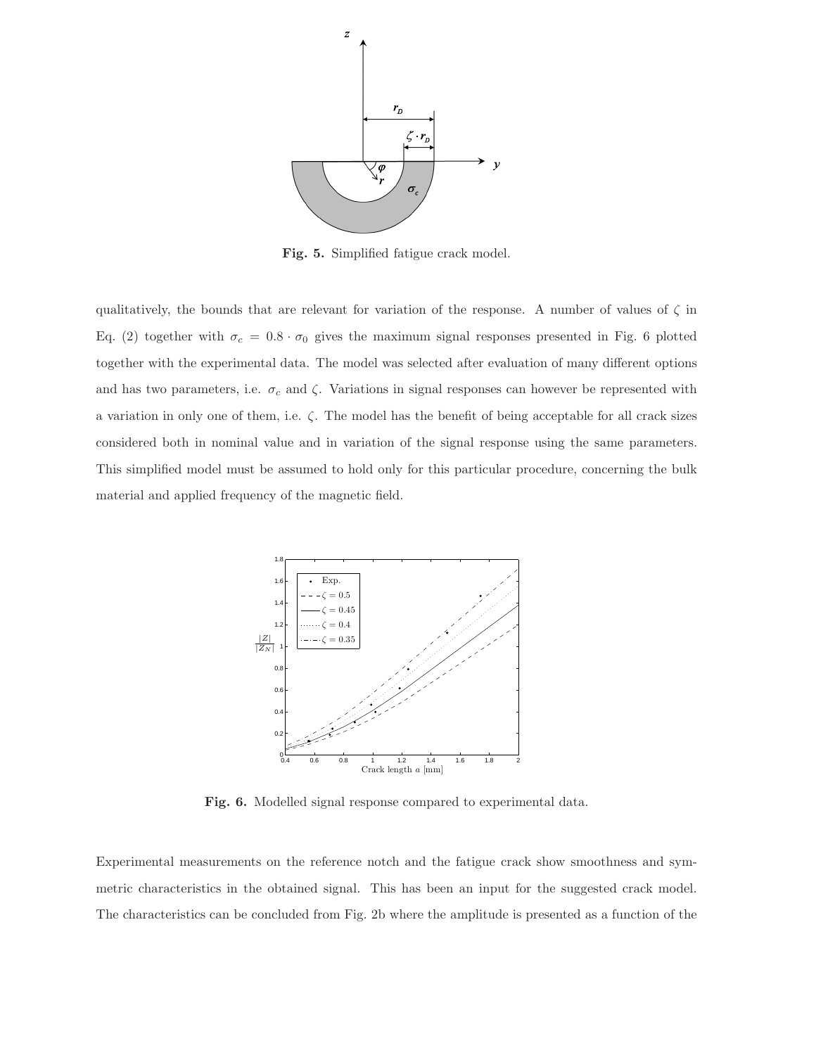

Fig. 5. Simplified fatigue crack model.

qualitatively, the bounds that are relevant for variation of the response. A number of values of  $\zeta$  in Eq. (2) together with  $\sigma_c = 0.8 \cdot \sigma_0$  gives the maximum signal responses presented in Fig. 6 plotted together with the experimental data. The model was selected after evaluation of many different options and has two parameters, i.e.  $\sigma_c$  and  $\zeta$ . Variations in signal responses can however be represented with a variation in only one of them, i.e. ζ. The model has the benefit of being acceptable for all crack sizes considered both in nominal value and in variation of the signal response using the same parameters. This simplified model must be assumed to hold only for this particular procedure, concerning the bulk material and applied frequency of the magnetic field.



Fig. 6. Modelled signal response compared to experimental data.

Experimental measurements on the reference notch and the fatigue crack show smoothness and symmetric characteristics in the obtained signal. This has been an input for the suggested crack model. The characteristics can be concluded from Fig. 2b where the amplitude is presented as a function of the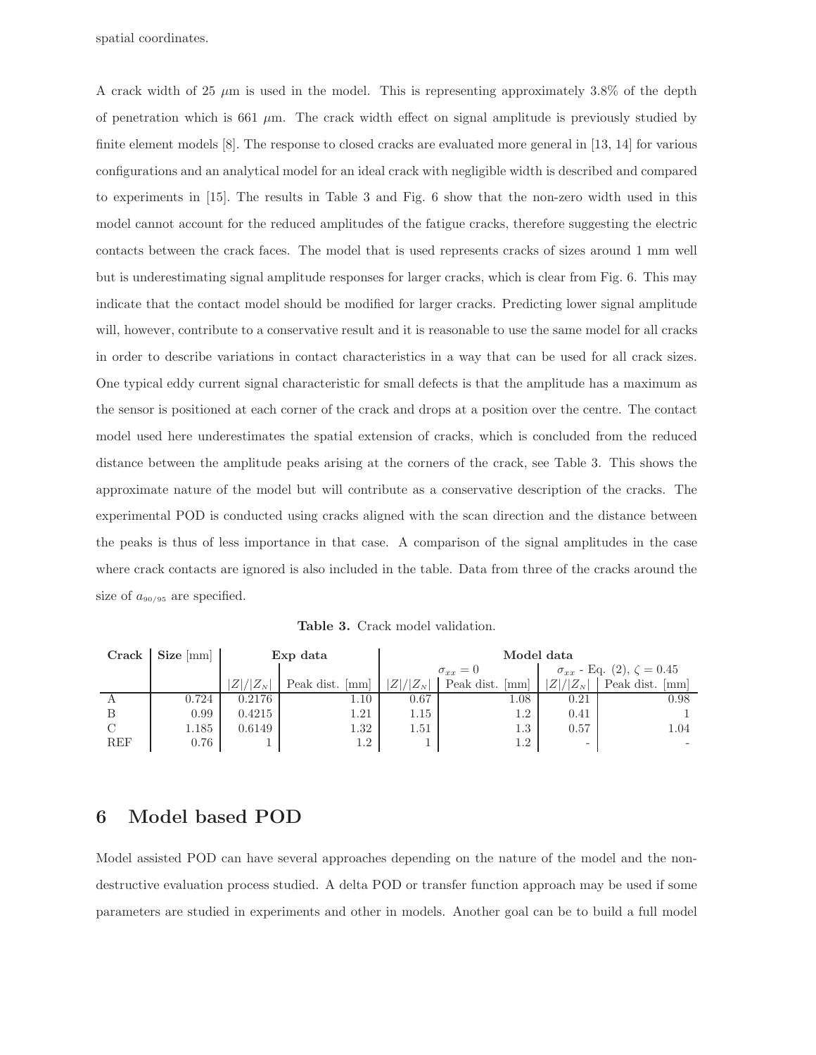spatial coordinates.

A crack width of 25  $\mu$ m is used in the model. This is representing approximately 3.8% of the depth of penetration which is 661  $\mu$ m. The crack width effect on signal amplitude is previously studied by finite element models [8]. The response to closed cracks are evaluated more general in [13, 14] for various configurations and an analytical model for an ideal crack with negligible width is described and compared to experiments in [15]. The results in Table 3 and Fig. 6 show that the non-zero width used in this model cannot account for the reduced amplitudes of the fatigue cracks, therefore suggesting the electric contacts between the crack faces. The model that is used represents cracks of sizes around 1 mm well but is underestimating signal amplitude responses for larger cracks, which is clear from Fig. 6. This may indicate that the contact model should be modified for larger cracks. Predicting lower signal amplitude will, however, contribute to a conservative result and it is reasonable to use the same model for all cracks in order to describe variations in contact characteristics in a way that can be used for all crack sizes. One typical eddy current signal characteristic for small defects is that the amplitude has a maximum as the sensor is positioned at each corner of the crack and drops at a position over the centre. The contact model used here underestimates the spatial extension of cracks, which is concluded from the reduced distance between the amplitude peaks arising at the corners of the crack, see Table 3. This shows the approximate nature of the model but will contribute as a conservative description of the cracks. The experimental POD is conducted using cracks aligned with the scan direction and the distance between the peaks is thus of less importance in that case. A comparison of the signal amplitudes in the case where crack contacts are ignored is also included in the table. Data from three of the cracks around the size of  $a_{90/95}$  are specified.

Table 3. Crack model validation.

| Crack      | $Size \, [mm]$ | Exp data      |                 | Model data                    |                   |                                         |                                  |
|------------|----------------|---------------|-----------------|-------------------------------|-------------------|-----------------------------------------|----------------------------------|
|            |                |               |                 | $\sigma_{xx}=0$               |                   | $\sigma_{xx}$ - Eq. (2), $\zeta = 0.45$ |                                  |
|            |                | $ Z / Z_{N} $ | Peak dist. [mm] | $/ Z_{\scriptscriptstyle N} $ | Peak dist.<br> mm | $/ Z_{N} $<br>$Z\vert$                  | Peak dist.<br>$\vert$ mm $\vert$ |
| A          | 0.724          | 0.2176        | 1.10            | 0.67                          | 1.08              | 0.21                                    | 0.98                             |
|            | 0.99           | 0.4215        | 1.21            | $1.15\,$                      | $1.2\,$           | 0.41                                    |                                  |
|            | 1.185          | 0.6149        | $1.32\,$        | 1.51                          | $1.3\,$           | 0.57                                    | 1.04                             |
| <b>REF</b> | 0.76           |               | 1.2             |                               | $1.2\,$           | $\overline{\phantom{a}}$                |                                  |

### 6 Model based POD

Model assisted POD can have several approaches depending on the nature of the model and the nondestructive evaluation process studied. A delta POD or transfer function approach may be used if some parameters are studied in experiments and other in models. Another goal can be to build a full model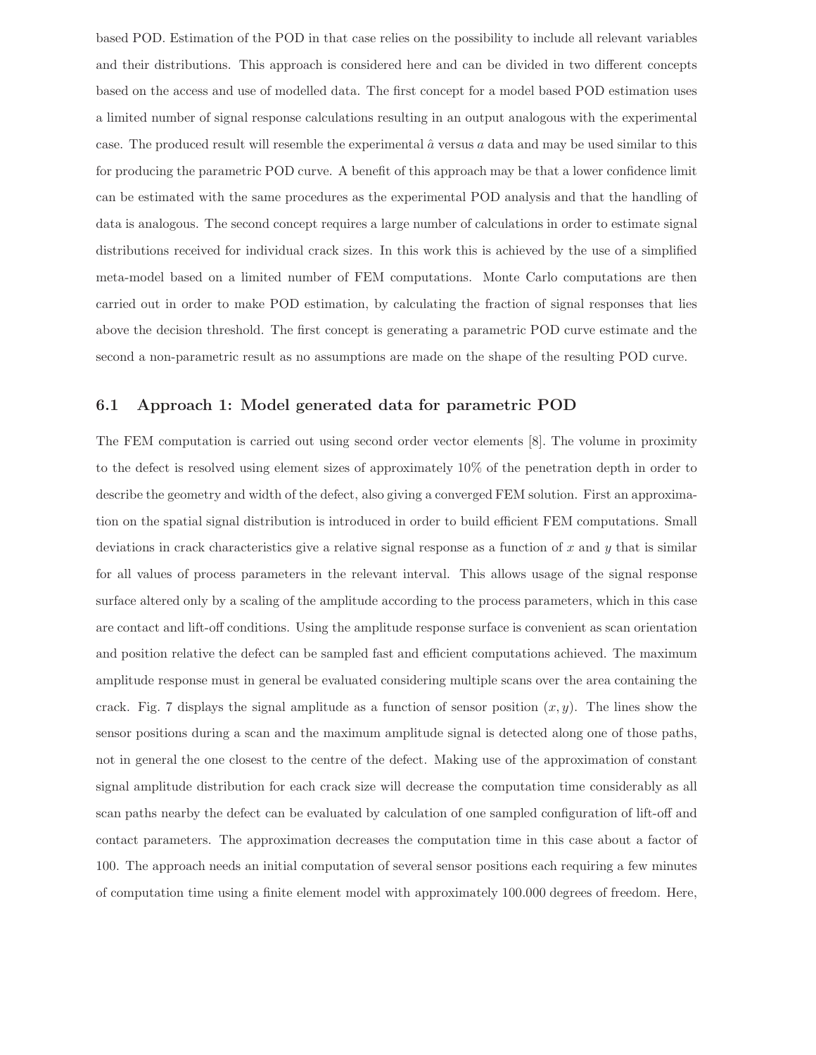based POD. Estimation of the POD in that case relies on the possibility to include all relevant variables and their distributions. This approach is considered here and can be divided in two different concepts based on the access and use of modelled data. The first concept for a model based POD estimation uses a limited number of signal response calculations resulting in an output analogous with the experimental case. The produced result will resemble the experimental  $\hat{a}$  versus a data and may be used similar to this for producing the parametric POD curve. A benefit of this approach may be that a lower confidence limit can be estimated with the same procedures as the experimental POD analysis and that the handling of data is analogous. The second concept requires a large number of calculations in order to estimate signal distributions received for individual crack sizes. In this work this is achieved by the use of a simplified meta-model based on a limited number of FEM computations. Monte Carlo computations are then carried out in order to make POD estimation, by calculating the fraction of signal responses that lies above the decision threshold. The first concept is generating a parametric POD curve estimate and the second a non-parametric result as no assumptions are made on the shape of the resulting POD curve.

#### 6.1 Approach 1: Model generated data for parametric POD

The FEM computation is carried out using second order vector elements [8]. The volume in proximity to the defect is resolved using element sizes of approximately 10% of the penetration depth in order to describe the geometry and width of the defect, also giving a converged FEM solution. First an approximation on the spatial signal distribution is introduced in order to build efficient FEM computations. Small deviations in crack characteristics give a relative signal response as a function of  $x$  and  $y$  that is similar for all values of process parameters in the relevant interval. This allows usage of the signal response surface altered only by a scaling of the amplitude according to the process parameters, which in this case are contact and lift-off conditions. Using the amplitude response surface is convenient as scan orientation and position relative the defect can be sampled fast and efficient computations achieved. The maximum amplitude response must in general be evaluated considering multiple scans over the area containing the crack. Fig. 7 displays the signal amplitude as a function of sensor position  $(x, y)$ . The lines show the sensor positions during a scan and the maximum amplitude signal is detected along one of those paths, not in general the one closest to the centre of the defect. Making use of the approximation of constant signal amplitude distribution for each crack size will decrease the computation time considerably as all scan paths nearby the defect can be evaluated by calculation of one sampled configuration of lift-off and contact parameters. The approximation decreases the computation time in this case about a factor of 100. The approach needs an initial computation of several sensor positions each requiring a few minutes of computation time using a finite element model with approximately 100.000 degrees of freedom. Here,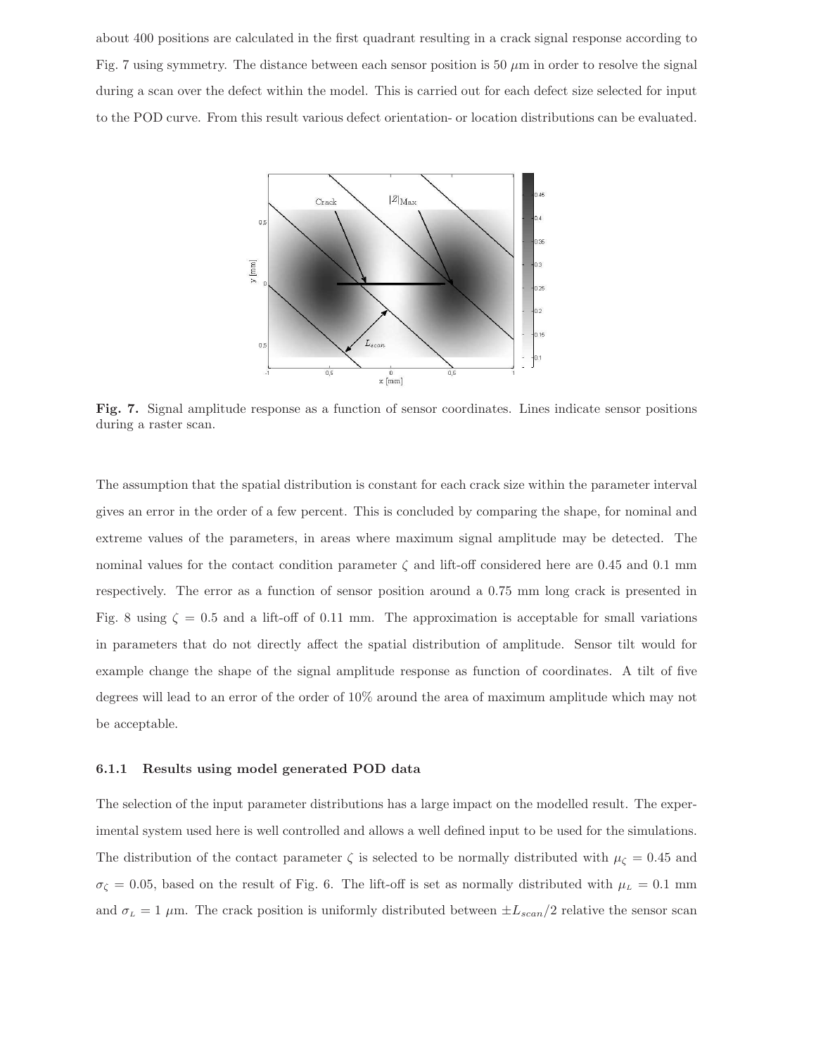about 400 positions are calculated in the first quadrant resulting in a crack signal response according to Fig. 7 using symmetry. The distance between each sensor position is 50  $\mu$ m in order to resolve the signal during a scan over the defect within the model. This is carried out for each defect size selected for input to the POD curve. From this result various defect orientation- or location distributions can be evaluated.



Fig. 7. Signal amplitude response as a function of sensor coordinates. Lines indicate sensor positions during a raster scan.

The assumption that the spatial distribution is constant for each crack size within the parameter interval gives an error in the order of a few percent. This is concluded by comparing the shape, for nominal and extreme values of the parameters, in areas where maximum signal amplitude may be detected. The nominal values for the contact condition parameter  $\zeta$  and lift-off considered here are 0.45 and 0.1 mm respectively. The error as a function of sensor position around a 0.75 mm long crack is presented in Fig. 8 using  $\zeta = 0.5$  and a lift-off of 0.11 mm. The approximation is acceptable for small variations in parameters that do not directly affect the spatial distribution of amplitude. Sensor tilt would for example change the shape of the signal amplitude response as function of coordinates. A tilt of five degrees will lead to an error of the order of 10% around the area of maximum amplitude which may not be acceptable.

#### 6.1.1 Results using model generated POD data

The selection of the input parameter distributions has a large impact on the modelled result. The experimental system used here is well controlled and allows a well defined input to be used for the simulations. The distribution of the contact parameter  $\zeta$  is selected to be normally distributed with  $\mu_{\zeta} = 0.45$  and  $\sigma_{\zeta} = 0.05$ , based on the result of Fig. 6. The lift-off is set as normally distributed with  $\mu_L = 0.1$  mm and  $\sigma_L = 1 \mu$ m. The crack position is uniformly distributed between  $\pm L_{scan}/2$  relative the sensor scan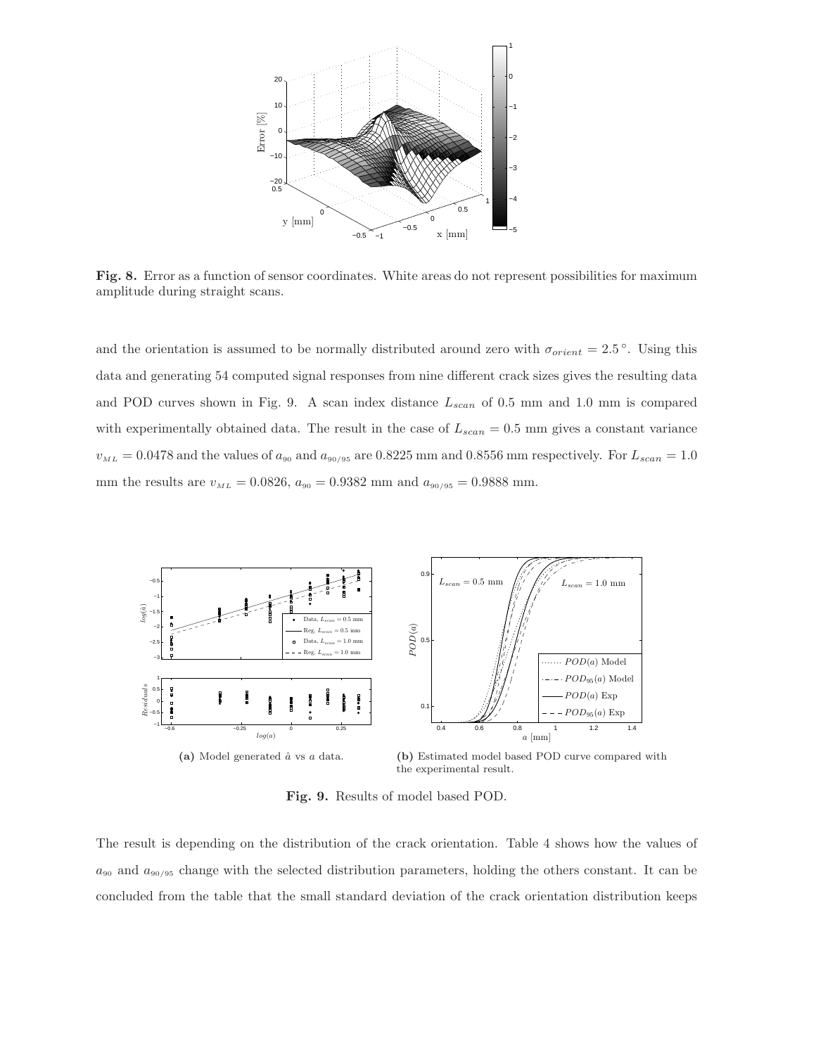

Fig. 8. Error as a function of sensor coordinates. White areas do not represent possibilities for maximum amplitude during straight scans.

and the orientation is assumed to be normally distributed around zero with  $\sigma_{orient} = 2.5^{\circ}$ . Using this data and generating 54 computed signal responses from nine different crack sizes gives the resulting data and POD curves shown in Fig. 9. A scan index distance  $L_{scan}$  of 0.5 mm and 1.0 mm is compared with experimentally obtained data. The result in the case of  $L_{scan} = 0.5$  mm gives a constant variance  $v_{ML} = 0.0478$  and the values of  $a_{90}$  and  $a_{90/95}$  are 0.8225 mm and 0.8556 mm respectively. For  $L_{scan} = 1.0$ mm the results are  $v_{ML} = 0.0826$ ,  $a_{90} = 0.9382$  mm and  $a_{90/95} = 0.9888$  mm.



Fig. 9. Results of model based POD.

The result is depending on the distribution of the crack orientation. Table 4 shows how the values of  $a_{90}$  and  $a_{90/95}$  change with the selected distribution parameters, holding the others constant. It can be concluded from the table that the small standard deviation of the crack orientation distribution keeps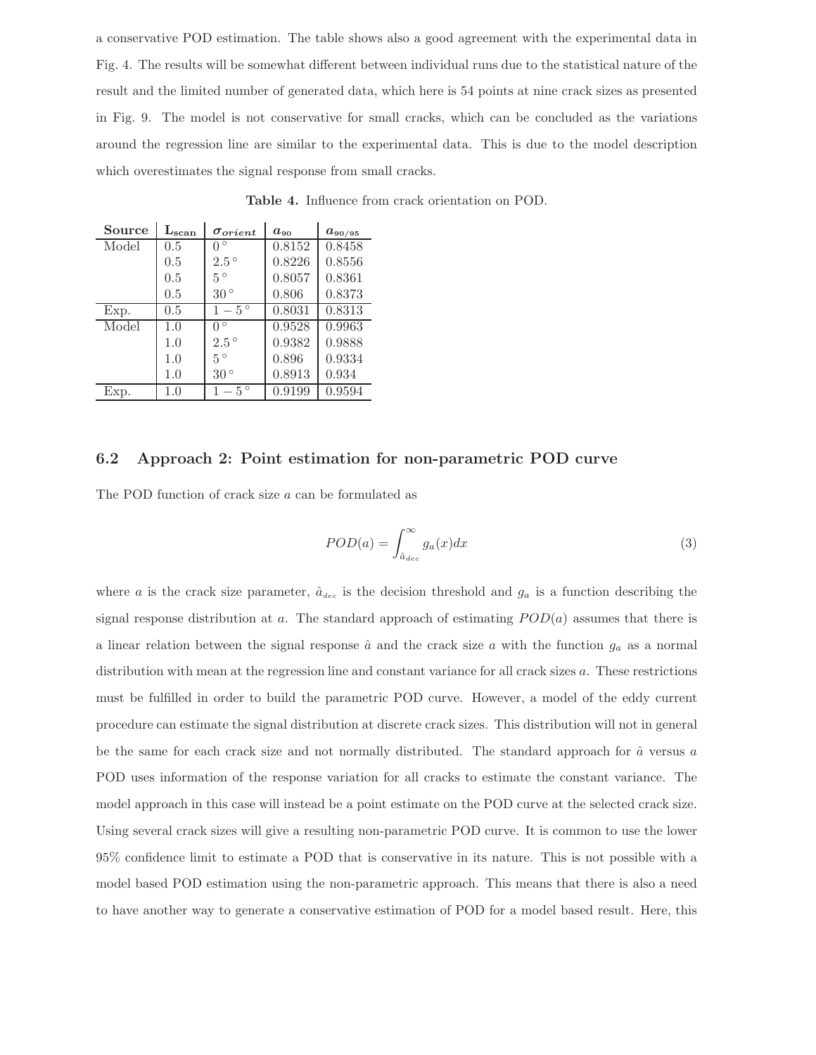a conservative POD estimation. The table shows also a good agreement with the experimental data in Fig. 4. The results will be somewhat different between individual runs due to the statistical nature of the result and the limited number of generated data, which here is 54 points at nine crack sizes as presented in Fig. 9. The model is not conservative for small cracks, which can be concluded as the variations around the regression line are similar to the experimental data. This is due to the model description which overestimates the signal response from small cracks.

| Source | $L_{\rm scan}$ | $\sigma_{orient}$ | $a_{90}$ | $a_{90/95}$ |
|--------|----------------|-------------------|----------|-------------|
| Model  | 0.5            | $0^{\circ}$       | 0.8152   | 0.8458      |
|        | 0.5            | $2.5^{\circ}$     | 0.8226   | 0.8556      |
|        | 0.5            | $5^{\circ}$       | 0.8057   | 0.8361      |
|        | 0.5            | $30^{\circ}$      | 0.806    | 0.8373      |
| Exp.   | 0.5            | $1-5^\circ$       | 0.8031   | 0.8313      |
| Model  | 1.0            | $0^{\circ}$       | 0.9528   | 0.9963      |
|        | 1.0            | $2.5^{\circ}$     | 0.9382   | 0.9888      |
|        | 1.0            | $5^{\circ}$       | 0.896    | 0.9334      |
|        | 1.0            | $30^{\circ}$      | 0.8913   | 0.934       |
| Exp.   | 1.0            | $1-5^\circ$       | 0.9199   | 0.9594      |

Table 4. Influence from crack orientation on POD.

#### 6.2 Approach 2: Point estimation for non-parametric POD curve

The POD function of crack size a can be formulated as

$$
POD(a) = \int_{\hat{a}_{dec}}^{\infty} g_a(x) dx
$$
\n(3)

where a is the crack size parameter,  $\hat{a}_{dec}$  is the decision threshold and  $g_a$  is a function describing the signal response distribution at a. The standard approach of estimating  $POD(a)$  assumes that there is a linear relation between the signal response  $\hat{a}$  and the crack size a with the function  $g_a$  as a normal distribution with mean at the regression line and constant variance for all crack sizes a. These restrictions must be fulfilled in order to build the parametric POD curve. However, a model of the eddy current procedure can estimate the signal distribution at discrete crack sizes. This distribution will not in general be the same for each crack size and not normally distributed. The standard approach for  $\hat{a}$  versus a POD uses information of the response variation for all cracks to estimate the constant variance. The model approach in this case will instead be a point estimate on the POD curve at the selected crack size. Using several crack sizes will give a resulting non-parametric POD curve. It is common to use the lower 95% confidence limit to estimate a POD that is conservative in its nature. This is not possible with a model based POD estimation using the non-parametric approach. This means that there is also a need to have another way to generate a conservative estimation of POD for a model based result. Here, this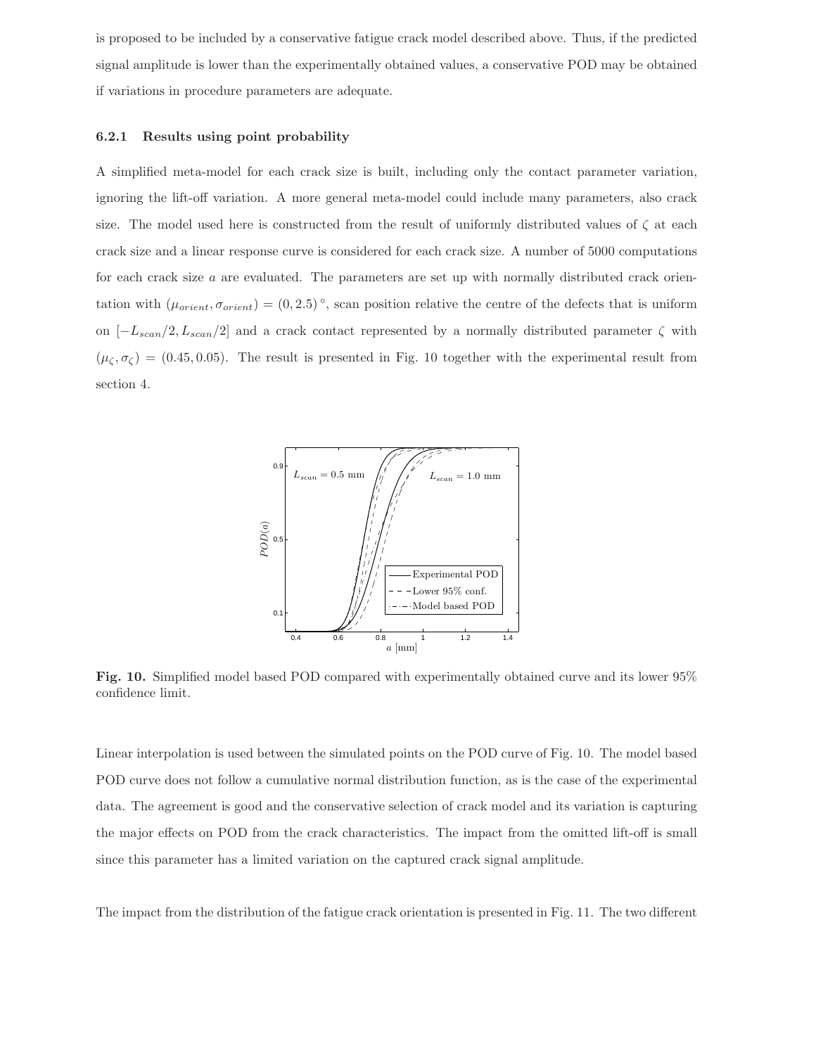is proposed to be included by a conservative fatigue crack model described above. Thus, if the predicted signal amplitude is lower than the experimentally obtained values, a conservative POD may be obtained if variations in procedure parameters are adequate.

#### 6.2.1 Results using point probability

A simplified meta-model for each crack size is built, including only the contact parameter variation, ignoring the lift-off variation. A more general meta-model could include many parameters, also crack size. The model used here is constructed from the result of uniformly distributed values of  $\zeta$  at each crack size and a linear response curve is considered for each crack size. A number of 5000 computations for each crack size a are evaluated. The parameters are set up with normally distributed crack orientation with  $(\mu_{orient}, \sigma_{orient}) = (0, 2.5)^\circ$ , scan position relative the centre of the defects that is uniform on  $[-L_{scan}/2, L_{scan}/2]$  and a crack contact represented by a normally distributed parameter  $\zeta$  with  $(\mu_{\zeta}, \sigma_{\zeta}) = (0.45, 0.05)$ . The result is presented in Fig. 10 together with the experimental result from section 4.



Fig. 10. Simplified model based POD compared with experimentally obtained curve and its lower 95% confidence limit.

Linear interpolation is used between the simulated points on the POD curve of Fig. 10. The model based POD curve does not follow a cumulative normal distribution function, as is the case of the experimental data. The agreement is good and the conservative selection of crack model and its variation is capturing the major effects on POD from the crack characteristics. The impact from the omitted lift-off is small since this parameter has a limited variation on the captured crack signal amplitude.

The impact from the distribution of the fatigue crack orientation is presented in Fig. 11. The two different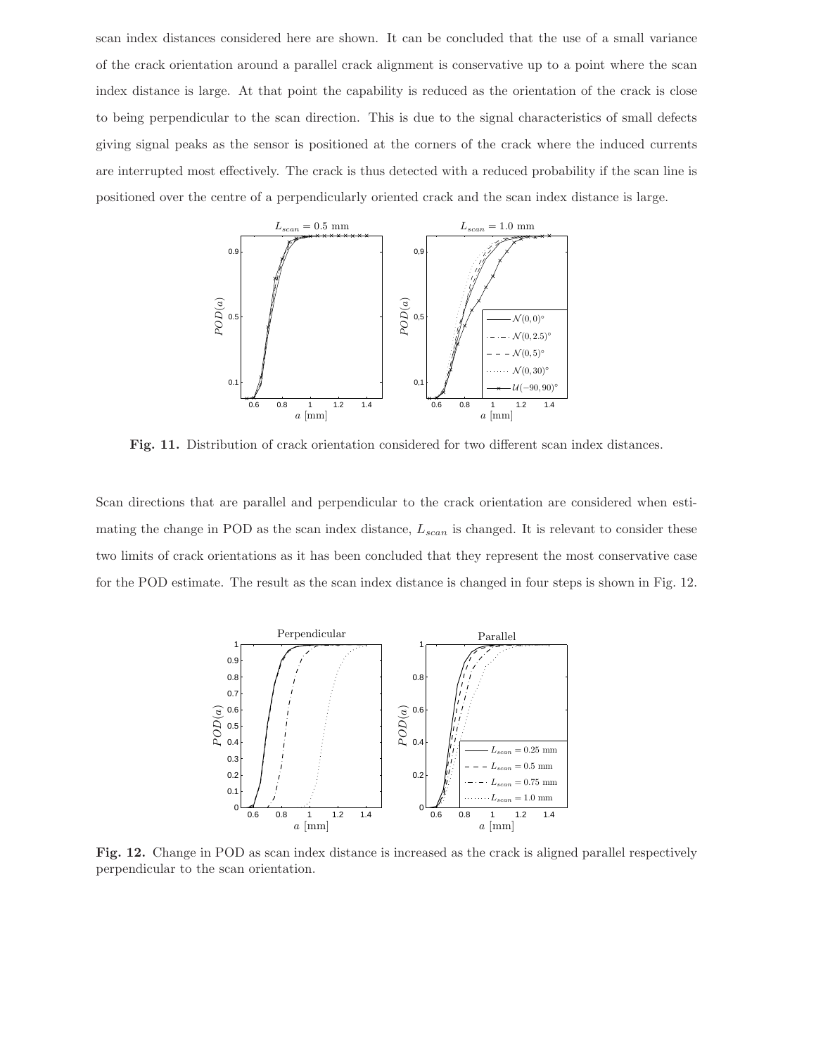scan index distances considered here are shown. It can be concluded that the use of a small variance of the crack orientation around a parallel crack alignment is conservative up to a point where the scan index distance is large. At that point the capability is reduced as the orientation of the crack is close to being perpendicular to the scan direction. This is due to the signal characteristics of small defects giving signal peaks as the sensor is positioned at the corners of the crack where the induced currents are interrupted most effectively. The crack is thus detected with a reduced probability if the scan line is positioned over the centre of a perpendicularly oriented crack and the scan index distance is large.



Fig. 11. Distribution of crack orientation considered for two different scan index distances.

Scan directions that are parallel and perpendicular to the crack orientation are considered when estimating the change in POD as the scan index distance,  $L_{scan}$  is changed. It is relevant to consider these two limits of crack orientations as it has been concluded that they represent the most conservative case for the POD estimate. The result as the scan index distance is changed in four steps is shown in Fig. 12.



Fig. 12. Change in POD as scan index distance is increased as the crack is aligned parallel respectively perpendicular to the scan orientation.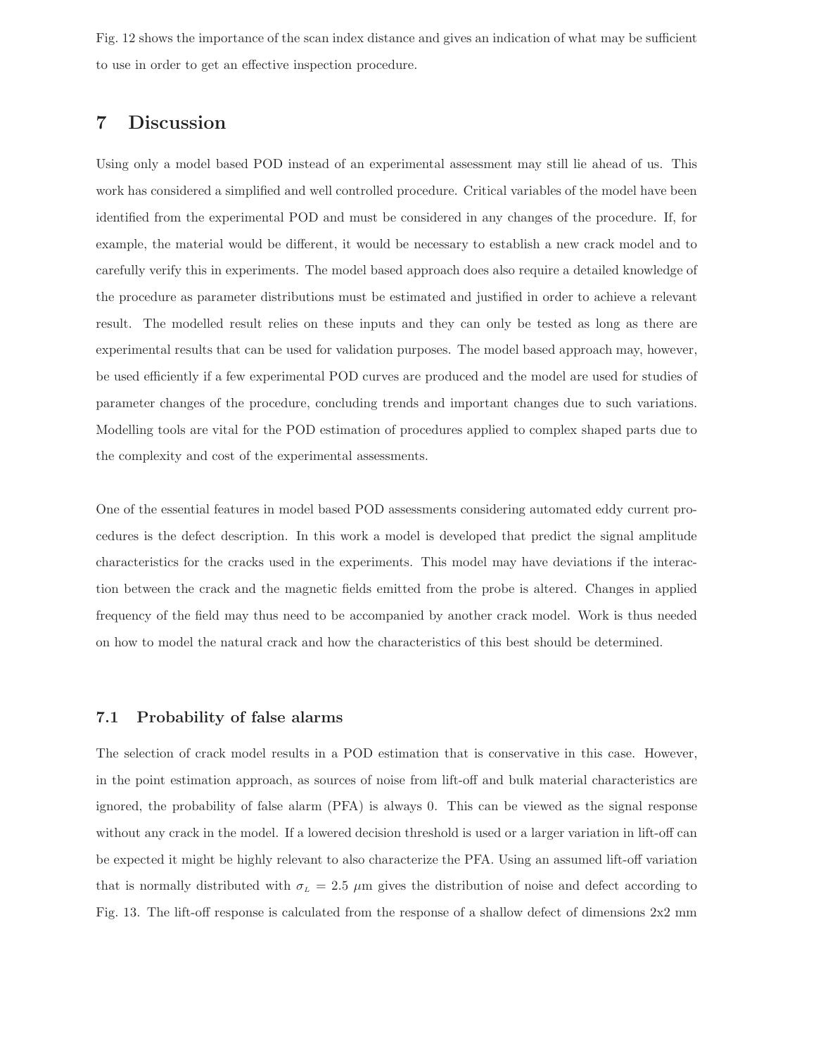Fig. 12 shows the importance of the scan index distance and gives an indication of what may be sufficient to use in order to get an effective inspection procedure.

### 7 Discussion

Using only a model based POD instead of an experimental assessment may still lie ahead of us. This work has considered a simplified and well controlled procedure. Critical variables of the model have been identified from the experimental POD and must be considered in any changes of the procedure. If, for example, the material would be different, it would be necessary to establish a new crack model and to carefully verify this in experiments. The model based approach does also require a detailed knowledge of the procedure as parameter distributions must be estimated and justified in order to achieve a relevant result. The modelled result relies on these inputs and they can only be tested as long as there are experimental results that can be used for validation purposes. The model based approach may, however, be used efficiently if a few experimental POD curves are produced and the model are used for studies of parameter changes of the procedure, concluding trends and important changes due to such variations. Modelling tools are vital for the POD estimation of procedures applied to complex shaped parts due to the complexity and cost of the experimental assessments.

One of the essential features in model based POD assessments considering automated eddy current procedures is the defect description. In this work a model is developed that predict the signal amplitude characteristics for the cracks used in the experiments. This model may have deviations if the interaction between the crack and the magnetic fields emitted from the probe is altered. Changes in applied frequency of the field may thus need to be accompanied by another crack model. Work is thus needed on how to model the natural crack and how the characteristics of this best should be determined.

#### 7.1 Probability of false alarms

The selection of crack model results in a POD estimation that is conservative in this case. However, in the point estimation approach, as sources of noise from lift-off and bulk material characteristics are ignored, the probability of false alarm (PFA) is always 0. This can be viewed as the signal response without any crack in the model. If a lowered decision threshold is used or a larger variation in lift-off can be expected it might be highly relevant to also characterize the PFA. Using an assumed lift-off variation that is normally distributed with  $\sigma_L = 2.5 \mu m$  gives the distribution of noise and defect according to Fig. 13. The lift-off response is calculated from the response of a shallow defect of dimensions 2x2 mm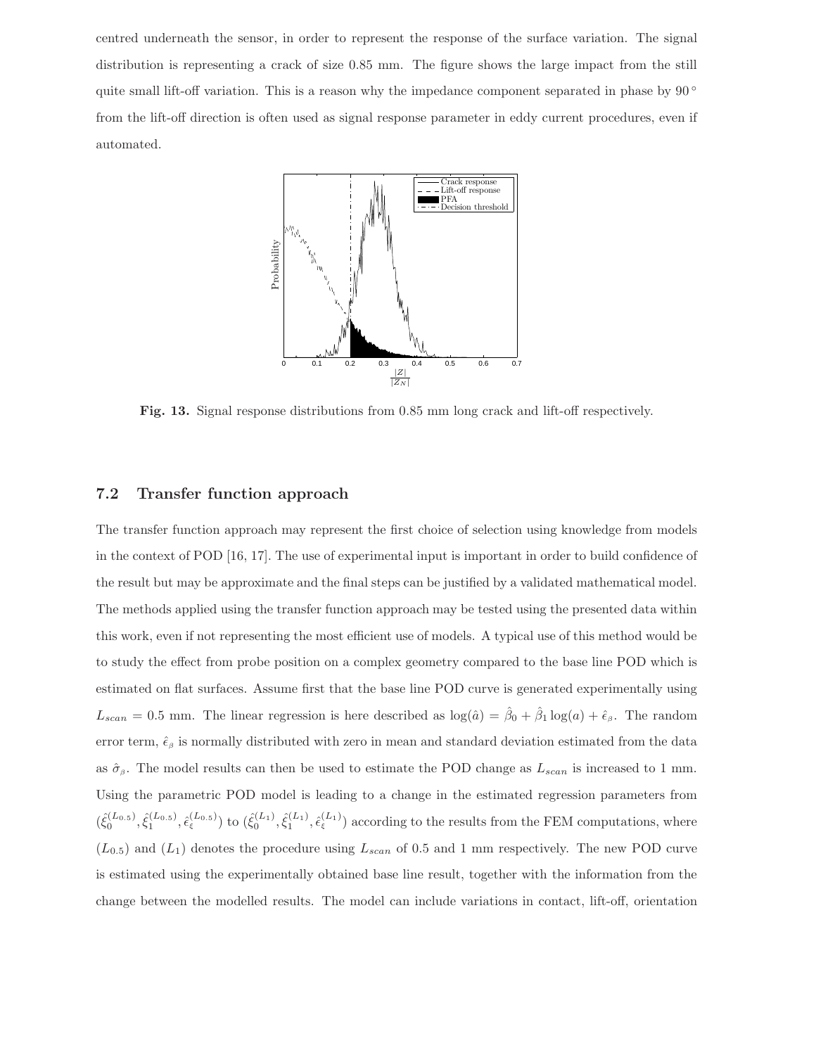centred underneath the sensor, in order to represent the response of the surface variation. The signal distribution is representing a crack of size 0.85 mm. The figure shows the large impact from the still quite small lift-off variation. This is a reason why the impedance component separated in phase by  $90^\circ$ from the lift-off direction is often used as signal response parameter in eddy current procedures, even if automated.



Fig. 13. Signal response distributions from 0.85 mm long crack and lift-off respectively.

#### 7.2 Transfer function approach

The transfer function approach may represent the first choice of selection using knowledge from models in the context of POD [16, 17]. The use of experimental input is important in order to build confidence of the result but may be approximate and the final steps can be justified by a validated mathematical model. The methods applied using the transfer function approach may be tested using the presented data within this work, even if not representing the most efficient use of models. A typical use of this method would be to study the effect from probe position on a complex geometry compared to the base line POD which is estimated on flat surfaces. Assume first that the base line POD curve is generated experimentally using  $L_{scan} = 0.5$  mm. The linear regression is here described as  $log(\hat{a}) = \hat{\beta}_0 + \hat{\beta}_1 log(a) + \hat{\epsilon}_{\beta}$ . The random error term,  $\hat{\epsilon}_{\beta}$  is normally distributed with zero in mean and standard deviation estimated from the data as  $\hat{\sigma}_{\beta}$ . The model results can then be used to estimate the POD change as  $L_{scan}$  is increased to 1 mm. Using the parametric POD model is leading to a change in the estimated regression parameters from  $(\hat{\xi}_0^{(L_{0.5})}, \hat{\xi}_1^{(L_{0.5})}, \hat{\epsilon}_{\xi}^{(L_{0.5})})$  to  $(\hat{\xi}_0^{(L_1)}, \hat{\xi}_1^{(L_1)}, \hat{\epsilon}_{\xi}^{(L_1)})$  according to the results from the FEM computations, where  $(L_{0.5})$  and  $(L_1)$  denotes the procedure using  $L_{scan}$  of 0.5 and 1 mm respectively. The new POD curve is estimated using the experimentally obtained base line result, together with the information from the change between the modelled results. The model can include variations in contact, lift-off, orientation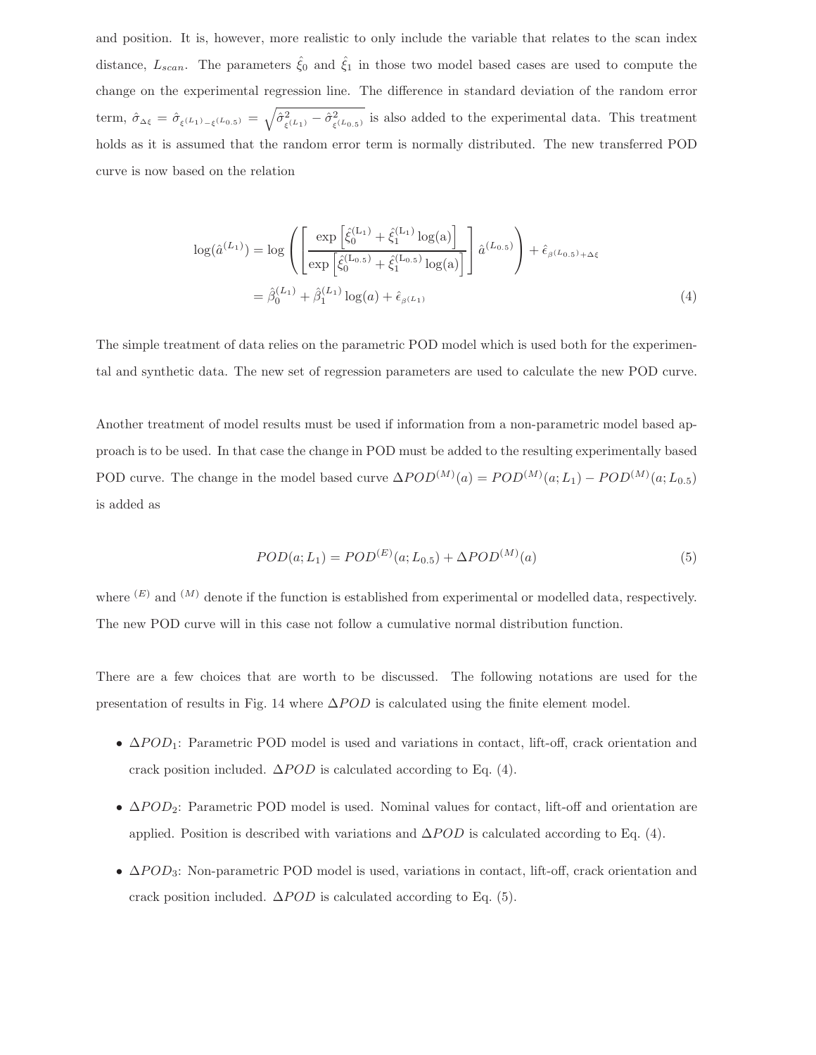and position. It is, however, more realistic to only include the variable that relates to the scan index distance,  $L_{scan}$ . The parameters  $\hat{\xi}_0$  and  $\hat{\xi}_1$  in those two model based cases are used to compute the change on the experimental regression line. The difference in standard deviation of the random error term,  $\hat{\sigma}_{\Delta \xi} = \hat{\sigma}_{\xi^{(L_1)} - \xi^{(L_0,5)}} = \sqrt{\hat{\sigma}_{\xi^{(L_1)}}^2 - \hat{\sigma}_{\xi^{(L_0,5)}}^2}$  is also added to the experimental data. This treatment holds as it is assumed that the random error term is normally distributed. The new transferred POD curve is now based on the relation

$$
\log(\hat{a}^{(L_1)}) = \log \left( \left[ \frac{\exp\left[\hat{\xi}_0^{(L_1)} + \hat{\xi}_1^{(L_1)} \log(a)\right]}{\exp\left[\hat{\xi}_0^{(L_{0.5})} + \hat{\xi}_1^{(L_{0.5})} \log(a)\right]} \right] \hat{a}^{(L_{0.5})} \right) + \hat{\epsilon}_{\beta^{(L_0,5)} + \Delta\xi}
$$

$$
= \hat{\beta}_0^{(L_1)} + \hat{\beta}_1^{(L_1)} \log(a) + \hat{\epsilon}_{\beta^{(L_1)}} \tag{4}
$$

The simple treatment of data relies on the parametric POD model which is used both for the experimental and synthetic data. The new set of regression parameters are used to calculate the new POD curve.

Another treatment of model results must be used if information from a non-parametric model based approach is to be used. In that case the change in POD must be added to the resulting experimentally based POD curve. The change in the model based curve  $\Delta POD^{(M)}(a) = POD^{(M)}(a;L_1) - POD^{(M)}(a;L_{0.5})$ is added as

$$
POD(a;L_1) = POD^{(E)}(a;L_{0.5}) + \Delta POD^{(M)}(a)
$$
\n(5)

where  $^{(E)}$  and  $^{(M)}$  denote if the function is established from experimental or modelled data, respectively. The new POD curve will in this case not follow a cumulative normal distribution function.

There are a few choices that are worth to be discussed. The following notations are used for the presentation of results in Fig. 14 where  $\Delta POD$  is calculated using the finite element model.

- $\Delta POD_1$ : Parametric POD model is used and variations in contact, lift-off, crack orientation and crack position included.  $\Delta POD$  is calculated according to Eq. (4).
- $\Delta POD_2$ : Parametric POD model is used. Nominal values for contact, lift-off and orientation are applied. Position is described with variations and  $\Delta POD$  is calculated according to Eq. (4).
- $ΔPOD<sub>3</sub>$ : Non-parametric POD model is used, variations in contact, lift-off, crack orientation and crack position included.  $\Delta POD$  is calculated according to Eq. (5).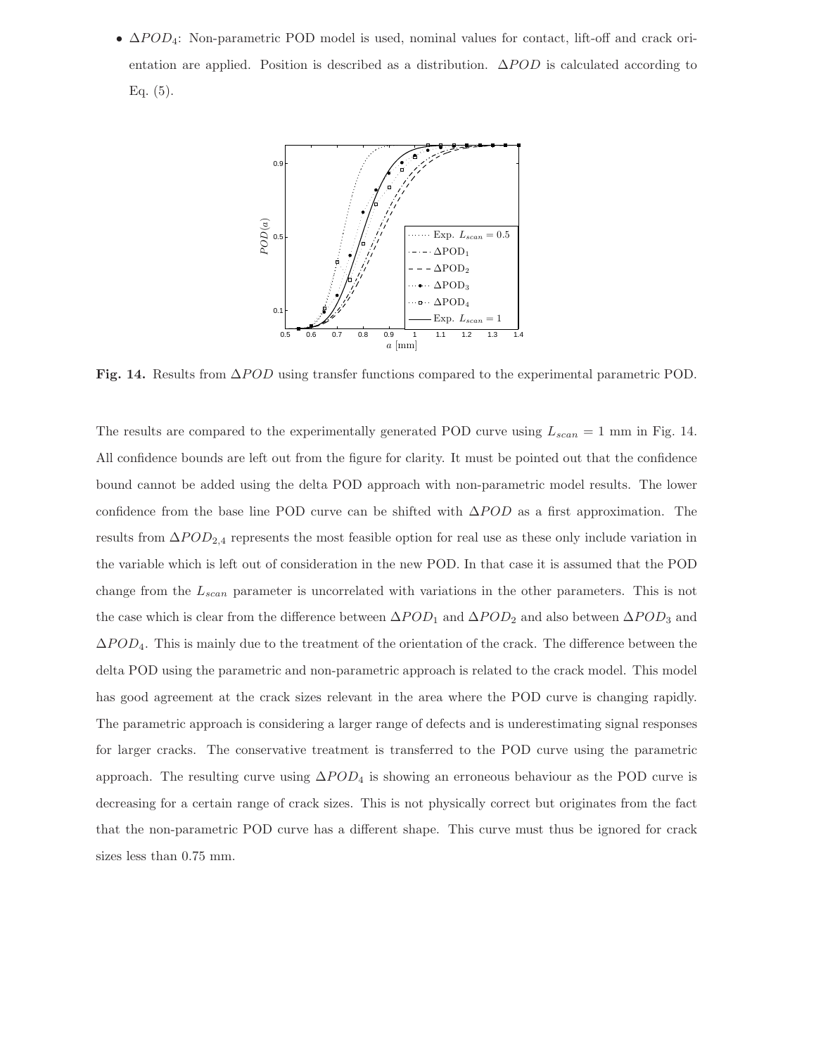•  $\Delta POD_4$ : Non-parametric POD model is used, nominal values for contact, lift-off and crack orientation are applied. Position is described as a distribution.  $\Delta POD$  is calculated according to Eq.  $(5)$ .



Fig. 14. Results from  $\Delta POD$  using transfer functions compared to the experimental parametric POD.

The results are compared to the experimentally generated POD curve using  $L_{scan} = 1$  mm in Fig. 14. All confidence bounds are left out from the figure for clarity. It must be pointed out that the confidence bound cannot be added using the delta POD approach with non-parametric model results. The lower confidence from the base line POD curve can be shifted with  $\Delta POD$  as a first approximation. The results from  $\Delta POD_{2,4}$  represents the most feasible option for real use as these only include variation in the variable which is left out of consideration in the new POD. In that case it is assumed that the POD change from the  $L_{scan}$  parameter is uncorrelated with variations in the other parameters. This is not the case which is clear from the difference between  $\Delta POD_1$  and  $\Delta POD_2$  and also between  $\Delta POD_3$  and  $\Delta POD_4$ . This is mainly due to the treatment of the orientation of the crack. The difference between the delta POD using the parametric and non-parametric approach is related to the crack model. This model has good agreement at the crack sizes relevant in the area where the POD curve is changing rapidly. The parametric approach is considering a larger range of defects and is underestimating signal responses for larger cracks. The conservative treatment is transferred to the POD curve using the parametric approach. The resulting curve using  $\Delta POD_4$  is showing an erroneous behaviour as the POD curve is decreasing for a certain range of crack sizes. This is not physically correct but originates from the fact that the non-parametric POD curve has a different shape. This curve must thus be ignored for crack sizes less than 0.75 mm.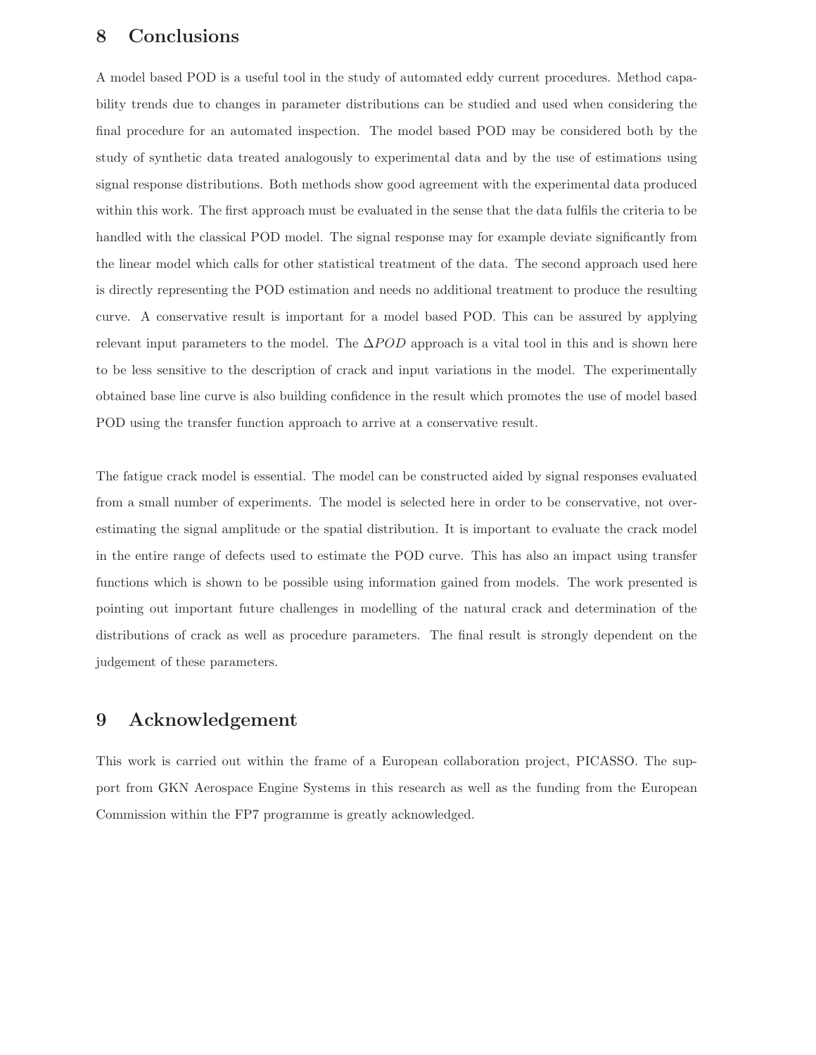### 8 Conclusions

A model based POD is a useful tool in the study of automated eddy current procedures. Method capability trends due to changes in parameter distributions can be studied and used when considering the final procedure for an automated inspection. The model based POD may be considered both by the study of synthetic data treated analogously to experimental data and by the use of estimations using signal response distributions. Both methods show good agreement with the experimental data produced within this work. The first approach must be evaluated in the sense that the data fulfils the criteria to be handled with the classical POD model. The signal response may for example deviate significantly from the linear model which calls for other statistical treatment of the data. The second approach used here is directly representing the POD estimation and needs no additional treatment to produce the resulting curve. A conservative result is important for a model based POD. This can be assured by applying relevant input parameters to the model. The  $\Delta POD$  approach is a vital tool in this and is shown here to be less sensitive to the description of crack and input variations in the model. The experimentally obtained base line curve is also building confidence in the result which promotes the use of model based POD using the transfer function approach to arrive at a conservative result.

The fatigue crack model is essential. The model can be constructed aided by signal responses evaluated from a small number of experiments. The model is selected here in order to be conservative, not overestimating the signal amplitude or the spatial distribution. It is important to evaluate the crack model in the entire range of defects used to estimate the POD curve. This has also an impact using transfer functions which is shown to be possible using information gained from models. The work presented is pointing out important future challenges in modelling of the natural crack and determination of the distributions of crack as well as procedure parameters. The final result is strongly dependent on the judgement of these parameters.

### 9 Acknowledgement

This work is carried out within the frame of a European collaboration project, PICASSO. The support from GKN Aerospace Engine Systems in this research as well as the funding from the European Commission within the FP7 programme is greatly acknowledged.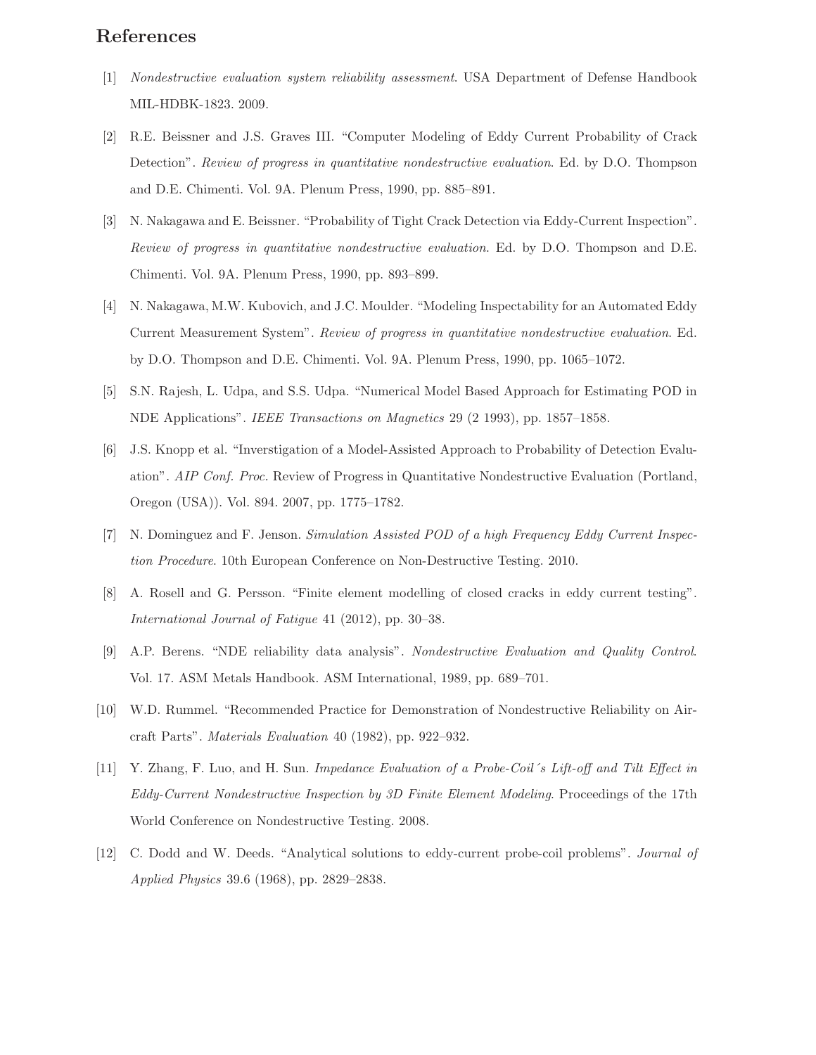### References

- [1] Nondestructive evaluation system reliability assessment. USA Department of Defense Handbook MIL-HDBK-1823. 2009.
- [2] R.E. Beissner and J.S. Graves III. "Computer Modeling of Eddy Current Probability of Crack Detection". Review of progress in quantitative nondestructive evaluation. Ed. by D.O. Thompson and D.E. Chimenti. Vol. 9A. Plenum Press, 1990, pp. 885–891.
- [3] N. Nakagawa and E. Beissner. "Probability of Tight Crack Detection via Eddy-Current Inspection". Review of progress in quantitative nondestructive evaluation. Ed. by D.O. Thompson and D.E. Chimenti. Vol. 9A. Plenum Press, 1990, pp. 893–899.
- [4] N. Nakagawa, M.W. Kubovich, and J.C. Moulder. "Modeling Inspectability for an Automated Eddy Current Measurement System". Review of progress in quantitative nondestructive evaluation. Ed. by D.O. Thompson and D.E. Chimenti. Vol. 9A. Plenum Press, 1990, pp. 1065–1072.
- [5] S.N. Rajesh, L. Udpa, and S.S. Udpa. "Numerical Model Based Approach for Estimating POD in NDE Applications". IEEE Transactions on Magnetics 29 (2 1993), pp. 1857–1858.
- [6] J.S. Knopp et al. "Inverstigation of a Model-Assisted Approach to Probability of Detection Evaluation". AIP Conf. Proc. Review of Progress in Quantitative Nondestructive Evaluation (Portland, Oregon (USA)). Vol. 894. 2007, pp. 1775–1782.
- [7] N. Dominguez and F. Jenson. Simulation Assisted POD of a high Frequency Eddy Current Inspection Procedure. 10th European Conference on Non-Destructive Testing. 2010.
- [8] A. Rosell and G. Persson. "Finite element modelling of closed cracks in eddy current testing". International Journal of Fatigue 41 (2012), pp. 30–38.
- [9] A.P. Berens. "NDE reliability data analysis". Nondestructive Evaluation and Quality Control. Vol. 17. ASM Metals Handbook. ASM International, 1989, pp. 689–701.
- [10] W.D. Rummel. "Recommended Practice for Demonstration of Nondestructive Reliability on Aircraft Parts". Materials Evaluation 40 (1982), pp. 922–932.
- [11] Y. Zhang, F. Luo, and H. Sun. Impedance Evaluation of a Probe-Coil's Lift-off and Tilt Effect in Eddy-Current Nondestructive Inspection by 3D Finite Element Modeling. Proceedings of the 17th World Conference on Nondestructive Testing. 2008.
- [12] C. Dodd and W. Deeds. "Analytical solutions to eddy-current probe-coil problems". Journal of Applied Physics 39.6 (1968), pp. 2829–2838.